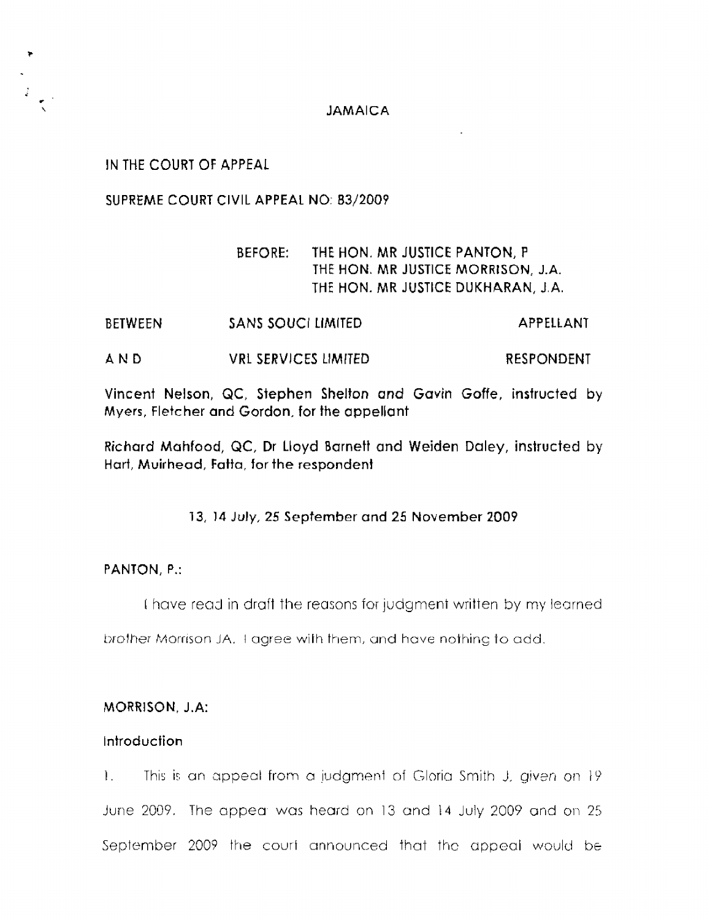## **JAMAICA**

IN THE COURT **OF APPEAL** 

**SUPREME COURT CIVIL APPEAL NO: 03/200?** 

# BEFORE: **THE** HON. **MR** JUSTICE **PANTON, <sup>P</sup>** THE HON. **MR** JUSTICE **MORRISON, J.A.**  THE HON. **MR JUSTICE DUKHARAN, J.A.**

- **BETWEEN** SANS SOUCL LIMITED **APPELLANT**
- **AND** VRL **SERVICES** LIMITED RESPONDENT

Vincent Nelson, QC, **Stephen** Shelton **and Gavin** Goffe, **insfructed by Myers, Fletcher and Gordon, for the** appellant

**Richard Mahfood, QC,** Dr lloyd Barnett and Weiden Daley, instructed by Hart, **Muirhead, Fatja, for the respondent** 

**73, 14 July, 25 September and 25** November **2009** 

## **PANTON, P.:**

I have read in draft the reasons for judgment written by my learned

brother Morrison JA. *1 agree with them, and have nothing to add.* 

## MORRISON, **J.A:**

## Introduction

1. This is an appeal from a judgment of Gloria Smith J, given on 19 June 2009. The appear was heard on 13 and 14 July 2009 and on 25 September *2009* the courf announced that thc appeal would be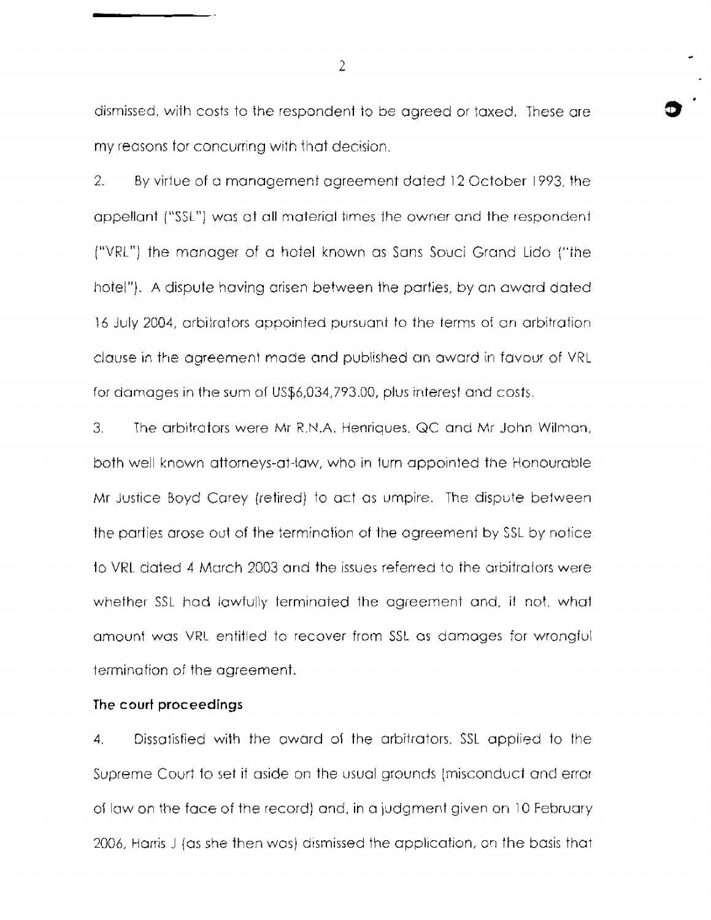dismissed, with costs to the respondent to be agreed or taxed. These are my reasons for concurring wifh that decision.

2. By virtue of a management agreement dated 12 October 1993, the appellant ("SSL") was at all material times the owner and the respondent ("VRL") the manager of a hotel known as Sans Souci Grand Lido ("the hotel"). A dispute having arisen between the parties, by an award dated 16 July 2004, arbitrators appointed pursuant to the terms of an arbitration. clause in the agreement made and published an award in favour of VRL for damages in the sum of US\$6,034,793.00, plus interest and costs.

3. The arbitrators were Mr R.N.A. Henriques, QC and Mr John Wilman, both well known attorneys-at-law, who in turn appointed the Honourable Mr Justice Boyd Carey (retired) to act as umpire. The dispute between the parties arose out of the termination of the agreement by SSL by notice to VRI dated 4 March 2003 and the issues referred to the arbitrators were whether SSL had lawfully terminated the agreement and, if not, what amount was VRL entitled to recover from SSL as damages for wrongful termination of the agreement.

## The **court proceedings**

**4.** Dissafisfied with the owurd oj the arbitrators, SSL applied to the Supreme Covrf to set if aside on the usual grounds [misconduct anti error of law on the face of the record) and, in a judgment given on 10 February 2006, Harris J (as she then was) dismissed the application, on the basis that

 $\overline{2}$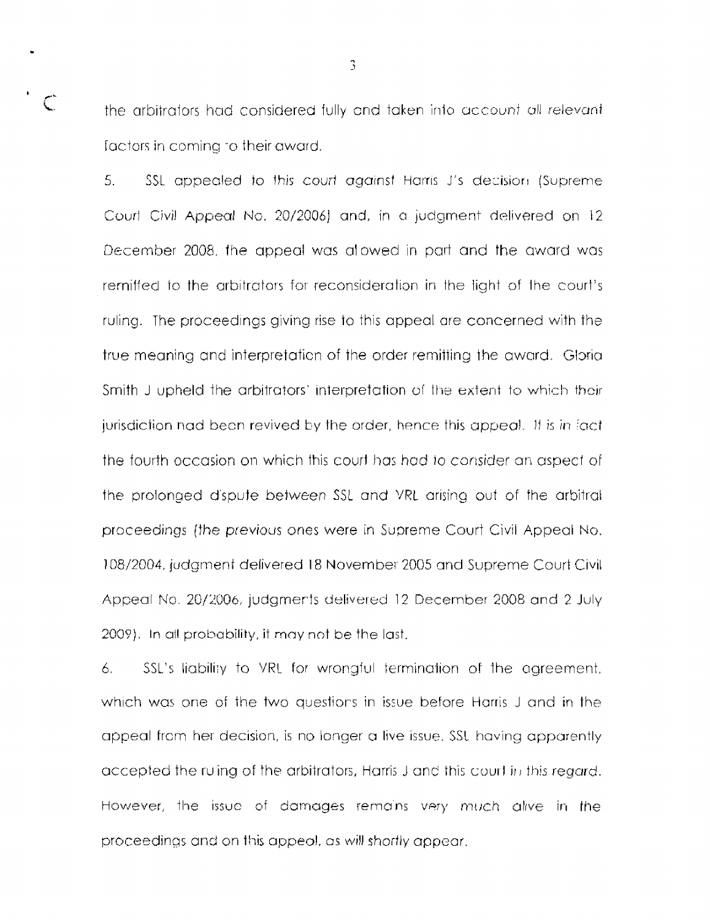$C$  the arbitrators had considered fully and taken into account all relevant factors in coming -o their award.

> 5. SSL appealed to this court against Harris J's decision (Supreme) Courl Civil Appeal No. 20/2006) and, in a judgment delivered on 12 December 2008, the appeal was alowed in part and the award was remiffed to the arbitrators for reconsideratian in the light of Ihe court's ruling. The proceedings giving rise to this appeal are concerned with the true meaning and interpretation of the order remitting the award. Glorial Smith J upheld the arbitrators' interpretation of the extent to which their jurisdiction nad been revived by the order, hence this appeal. It is in fact the fourth occasion on which this court has had to consider an aspect of the prolonged d'spute between *SSL* and VRL arising out of the arbitrat proceedings (the previous ones were in Supreme Court Civil Appeal No. 108/2004, judgment delivered 18 November 2005 and Supreme Court Civil Appeal No. 20/20O6, judgmerts delivered 12 December 2008 and 2 July 2009). In all probability, it may not be the last.

> *6.* SSL's liabiliry to VRL for wrongful terminajion of the agreement. which was one of the two questiors in issue before Harris J and in the appeal frcm her decision, is no longer *CI* live issue. SSL having apparently accepted the ruing of the arbitrators, Harris J and this court in this *regard*. However, the issue of damages remains very much alive in the proceedings and on this appeal, as will shortly appear.

3

**b**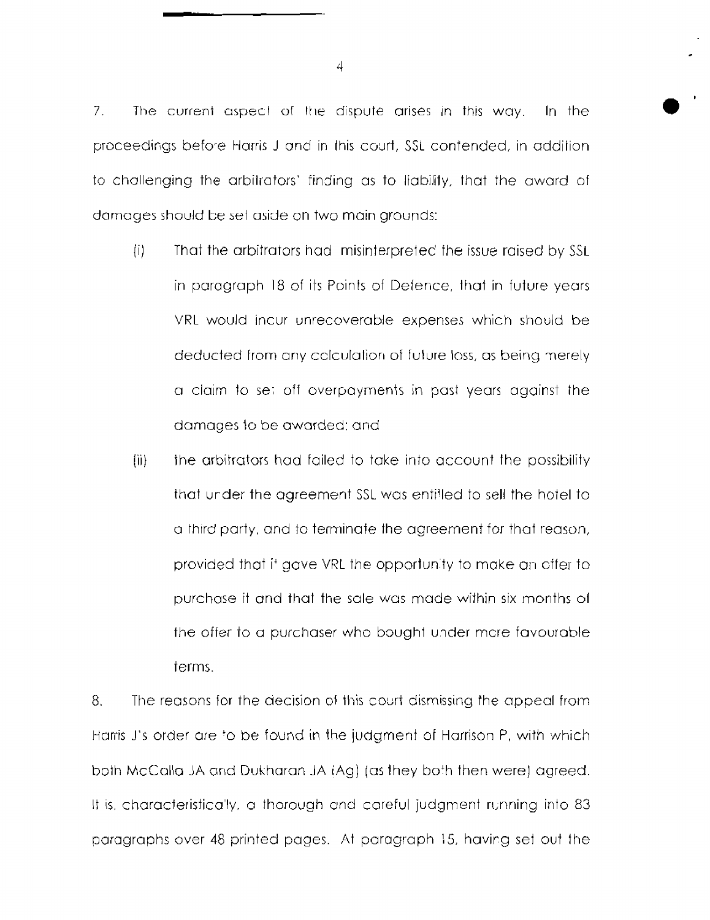7. The current aspect of the dispute arises in this way. In the proceedings before Harris J and in this court, SSL contended, in addition to challenging the arbitrators' finding as to liability, that the award of damages should be set aside on two main grounds:

- (i) That the arbitrators had misinterpreted the issue raised by SSL in paragraph 18 of its Points of Defence, that in future years VRL would incur unrecoverable expenses which should be deducted from any cclculation of future loss, as being merely a claim to se; off overpayments in past years against the damages to be awarded: and
- (ii) the arbitrators had failed to take into account the possibility that urder the agreement SSL was entitled to sell the hotel to a third party, and to terminate the agreement for that reason, provided that if gave VRL the opportunity to make an offer to purchase it and that the sale was made within six months oi the *offer* to a purchaser who bought under mare favourable terms.

8. The reasons for the decision of this court dismissing the appeal from Harris J's order are 'o be found in the judgmerlt of Harrison P, with which both McCalla JA and Dukharan **JA iAg)** *(as* they bo'h then were) agreed. It is, characteristically, a thorough and careful judgment running into 83 paragraphs over 48 printed pages. At paragraph 15, having set out the

 $\downarrow$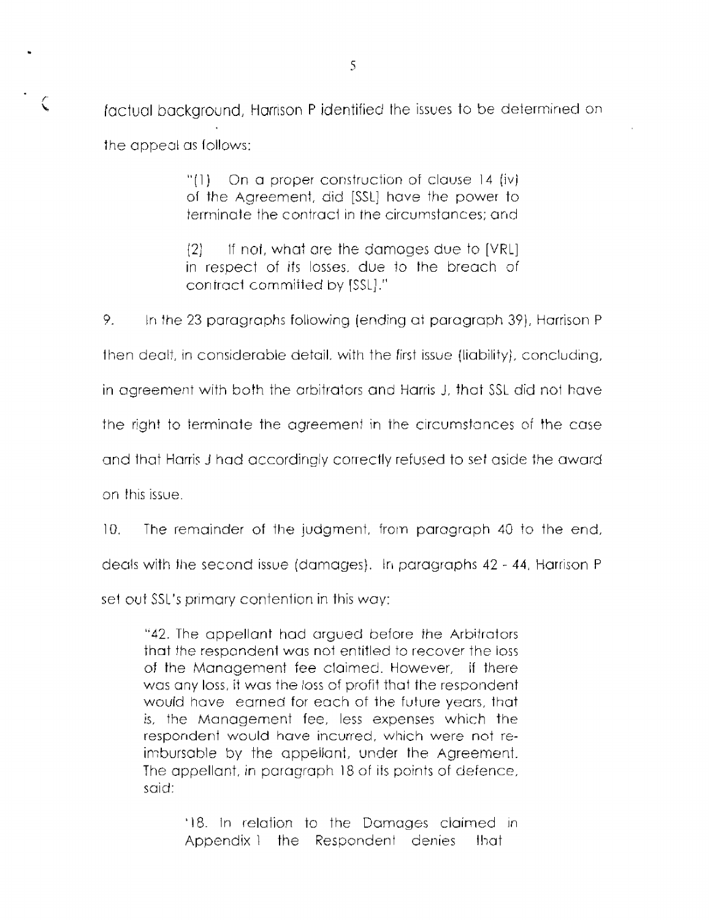$\zeta$  actual background, Harrison P identified the issues to be determined on the appeal as follows:

> "(1) On a proper construction of clause 14 (iv) of the Agreement, did [SSL] have the power to terminate the contract in the circumstances; and

> $12$  If not, what are the damages due to [VRL] in respect of its losses, due to the breach of coniract committed by [SSL]."

*9.* In the 23 paragraphs following (ending at paragraph *39),* Harrison P

then dealt, in considerable detail, with the first issue (liability], concluding,

in agreement with both the arbitrators and Harris J, that SSL did not have

the right to terminate the agreement in the circumstances of the case

and that Harris J had accordingly correctly refused to set aside the award

on this issue.

10. The remainder of the judgment, from paragraph 40 to the end,

deals with the second issue (damages). In paragraphs 42 - 44, Harrison P.

set out SSL's primary contention in this way:

"42. The appellant had argued before the Arbitrators that the respondent was not entitled to recover the loss of the Management fee claimed. However, if there was any loss, it was the loss of profit that the respondent would have earned for each of the future years, that is, the Management fee, less expenses which the respondent would have incurred, which were not reimbursable by the appellant, under the Agreement. The appellant, in paragraph 18 of its points of defence, said:

> '18. In relation to the Damages claimed in Appendix1 the Respondent denies that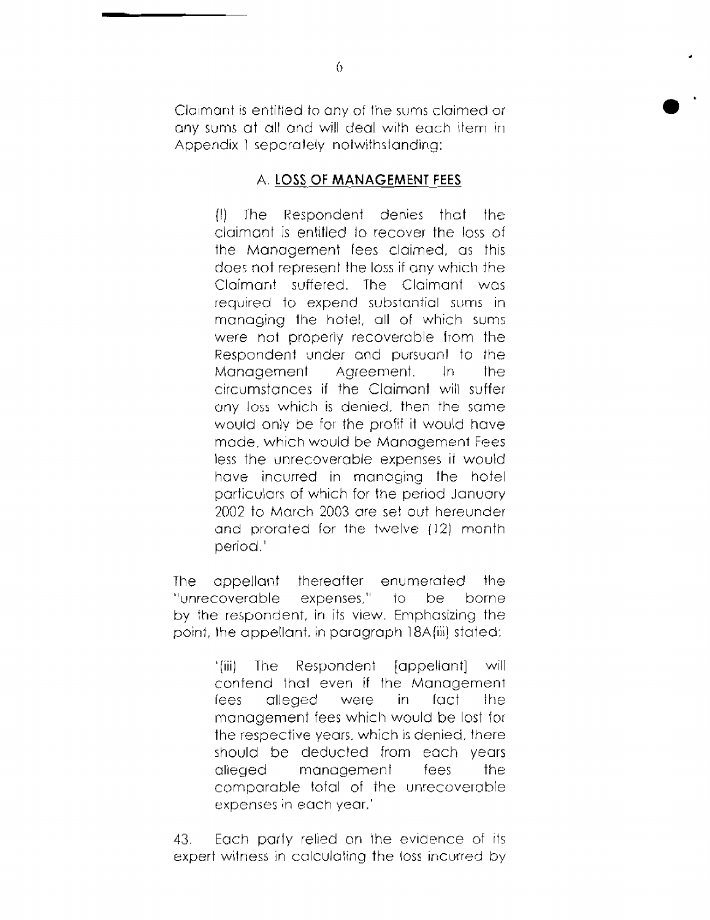Claimant is entitled to any of the sums claimed or any sums at all and will deal with each item in Appendix 1 separately notwithstanding:

## **A. LOSS** OF **MANAGEMENT FEES**

 $(1)$  The Respondent denies that the claimant is entitled to recover the loss of the Management fees claimed, as this does not represent the loss if any which the Claimant suffered. The Claimant was required to experid substantial sums in managing the hotel, all of which sums were not properly recoverable lrom the Respondent under and pursuant to the Management Agreement. In the circumstances if the Claimant will suffer any loss which is denied, then the samewould oniy be for the profif it would have made, which would be Manogement Fees less the unrecoverable expenses it would have incurred in managing the hotel particulars of which for the period Januory 2092 to March 2003 crre set out hereunder and prorated for ihe twelve {12) month period. '

The appellant thereafter enumerated the "unrecoverable expenses," to be borne by the respondent, in its view. Emphasizing the point, the appe!lant, in paragraph 18A(iii) stated:

> '(iii) The Respondeni [appellant] will contend ihat even if the Management lees alleged were in fact the management fees which would be lost for the respective years, which is denied, there should be deducted from each years alieged management fees the comparable total of the unrecoverable expenses in each vear.'

43. Each parly relied on the evidence of its expert witness in calculating the loss incurred by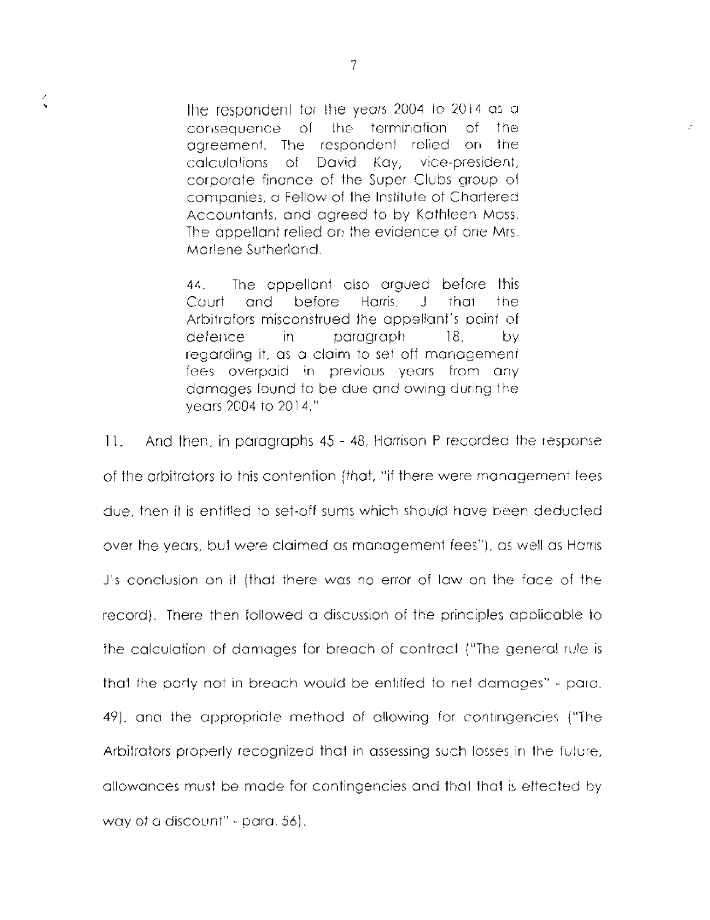the respondent for the years 2004 to 2014 as a the termination of the consequence of agreement. The respondent relied on the calculations of David Kay, vice-president, corporate finance of the Super Clubs group of companies, a Fellow of the Institute of Chartered Accountants, and agreed to by Kathleen Moss. The appellant relied on the evidence of one Mrs. Marlene Sutherland

44. The appellant also argued before this Court and before Harris.  $\mathbf{J}$ that the. Arbitrators misconstrued the appellant's point of defence in. paragraph  $18$ bv regarding it, as a claim to set off management. fees overpaid in previous years from any damages found to be due and owing during the vears 2004 to 2014."

 $11.$ And then, in paragraphs 45 - 48, Harrison P recorded the response of the arbitrators to this contention (that, "if there were management fees due, then it is entitled to set-off sums which should have been deducted over the years, but were claimed as management fees"), as well as Harris J's conclusion on it (that there was no error of law on the face of the record). There then followed a discussion of the principles applicable to the calculation of damages for breach of contract ("The general rule is that the party not in breach would be entitled to net damages" - para. 49), and the appropriate method of allowing for contingencies ("The Arbitrators properly recognized that in assessing such losses in the future, allowances must be made for contingencies and that that is effected by way of a discount" - para, 56).

 $\zeta$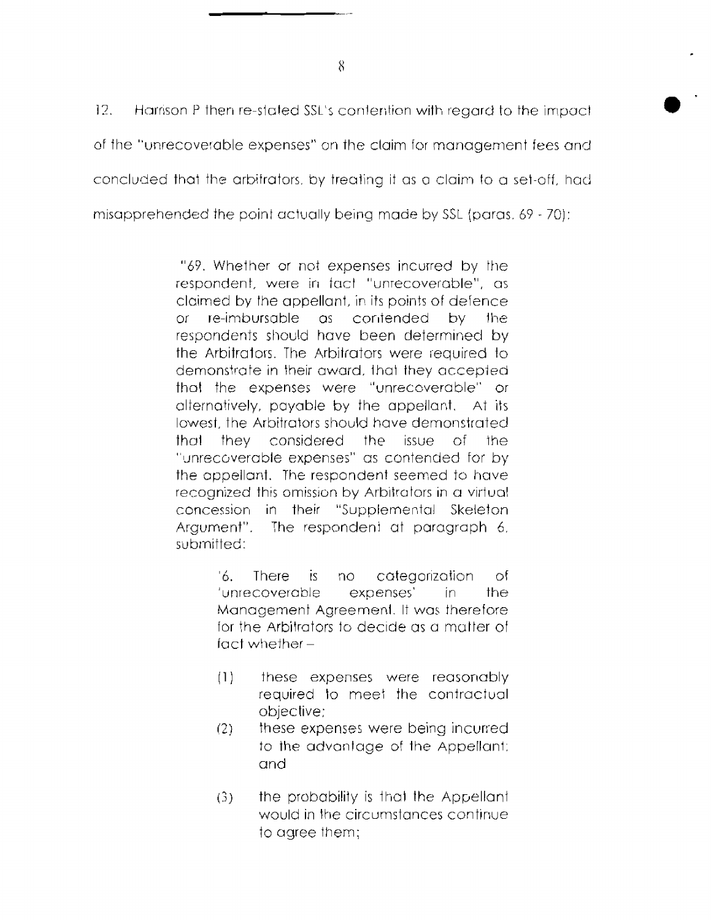$12<sub>1</sub>$ Harrison P then re-stated SSL's contention with regard to the impact of the "unrecoverable expenses" on the claim for management fees and concluded that the arbitrators, by treating it as a claim to a set-off, had misapprehended the point actually being made by SSL (paras, 69 - 70);

> "69. Whether or not expenses incurred by the respondent, were in fact "unrecoverable", as claimed by the appellant, in its points of defence  $\alpha$ re-imbursable as contended by – the respondents should have been determined by the Arbitrators. The Arbitrators were required to demonstrate in their award, that they accepted that the expenses were "unrecoverable" or alternatively, payable by the appellant. At its lowest, the Arbitrators should have demonstrated that they considered the issue of the "unrecoverable expenses" as contended for by the appellant. The respondent seemed to have recognized this omission by Arbitrators in a virtual concession in their "Supplemental Skeleton The respondent at paragraph 6. Argument". submitted:

> > '6. L **There** categorization is. no οf 'unrecoverable expenses' in. the Management Agreement. It was therefore for the Arbitrators to decide as a matter of  $fact whether -$

- these expenses were reasonably  $(1)$ required to meet the contractual objective:
- $(2)$ these expenses were being incurred to the advantage of the Appellant; and
- the probability is that the Appellant  $(3)$ would in the circumstances continue to agree them;

8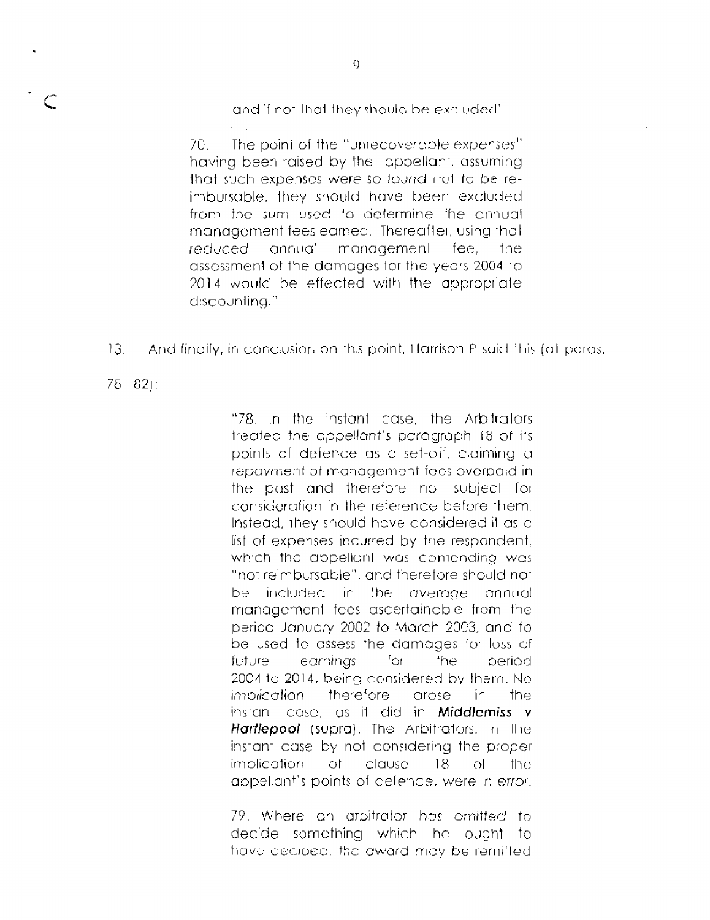and if not that they should be excluded'.

 $70 -$ The point of the "unrecoverable expenses" having been raised by the appellant, assuming that such expenses were so found not to be reimbursable, they should have been excluded from the sum used to determine the annual management fees earned. Thereafter, using that reduced annual management fee. the assessment of the damages for the years 2004 to 2014 would be effected with the appropriate discounting."

And finally, in conclusion on this point, Harrison P said this (at paras.  $13.$ 

 $78 - 82$ :

"78. In the instant case, the Arbitrators treated the appellant's paragraph 18 of its points of defence as a set-off, claiming a repayment of management fees overpaid in the past and therefore not subject for consideration in the reference before them. Instead, they should have considered it as a list of expenses incurred by the respondent. which the appellant was contending was "not reimbursable", and therefore should not be included in the average annual management fees ascertainable from the period January 2002 to March 2003, and to be used to assess the damages for loss of earnings for the. future i period 2004 to 2014, being considered by them. No therefore *implication* arose ir. the instant case, as it did in **Middlemiss** v Hartlepool (supra). The Arbitrators, in the instant case by not considering the proper implication of clause  $18<sup>°</sup>$  $\cap$ the appellant's points of defence, were in error.

79. Where an arbitrator has omitted to decide something which he ought to have decided, the award may be remiffed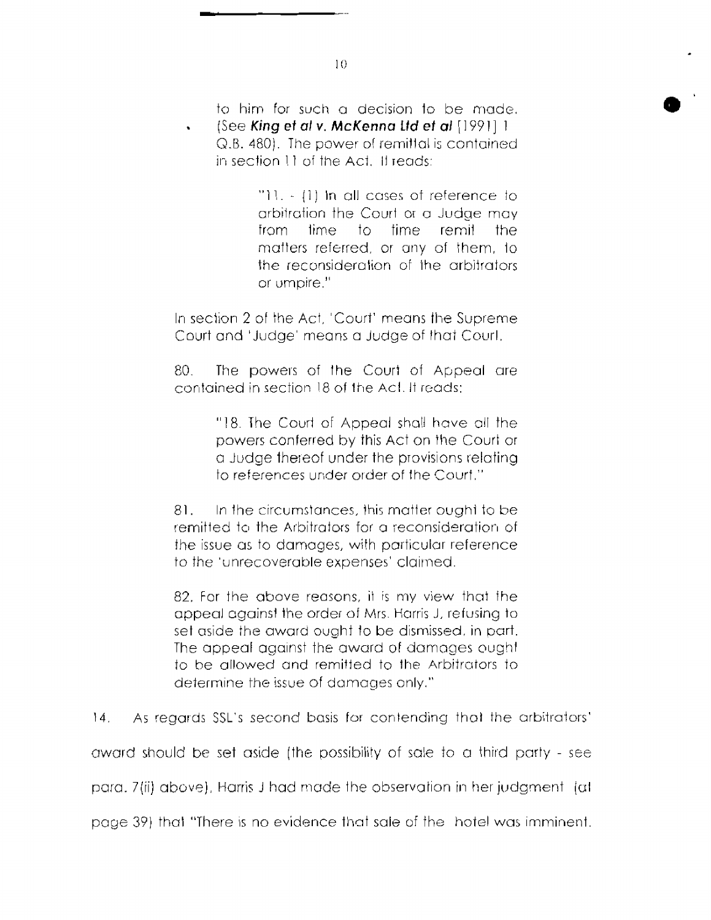to him for such a decision to be made. (See King et al v. McKenna Ltd et al [1991] 1 Q.B. 480). The power of remittal is contained in section 11 of the Act. If reads:

> "11. - (1) In all cases of reference to arbitration the Court or a Judge may from time to time remit the matters referred, or any of them, to the reconsideration of the arbitrators or umbire."

In section 2 of the Act, 'Court' means the Supreme Court and 'Judge' means a Judge of that Courl.

80 The powers of the Court of Appeal are contained in section 18 of the Act. It reads:

> "18. The Court of Appeal shall have all the powers conferred by this Act on the Court or a Judge thereof under the provisions relating to references under order of the Court."

 $81.$ In the circumstances, this matter ought to be remitted to the Arbitrators for a reconsideration of the issue as to damages, with particular reference to the 'unrecoverable expenses' claimed.

82. For the above reasons, it is my view that the appeal against the order of Mrs. Harris J, refusing to set aside the award ought to be dismissed, in part. The appeal against the award of damages ought to be allowed and remitted to the Arbitrators to determine the issue of damages only."

 $|4|$ As regards SSL's second basis for contending that the arbitrators'

award should be set aside (the possibility of sale to a third party - see

para, 7(ii) above). Harris J had made the observation in her judgment (at

page 39) that "There is no evidence that sale of the hotel was imminent.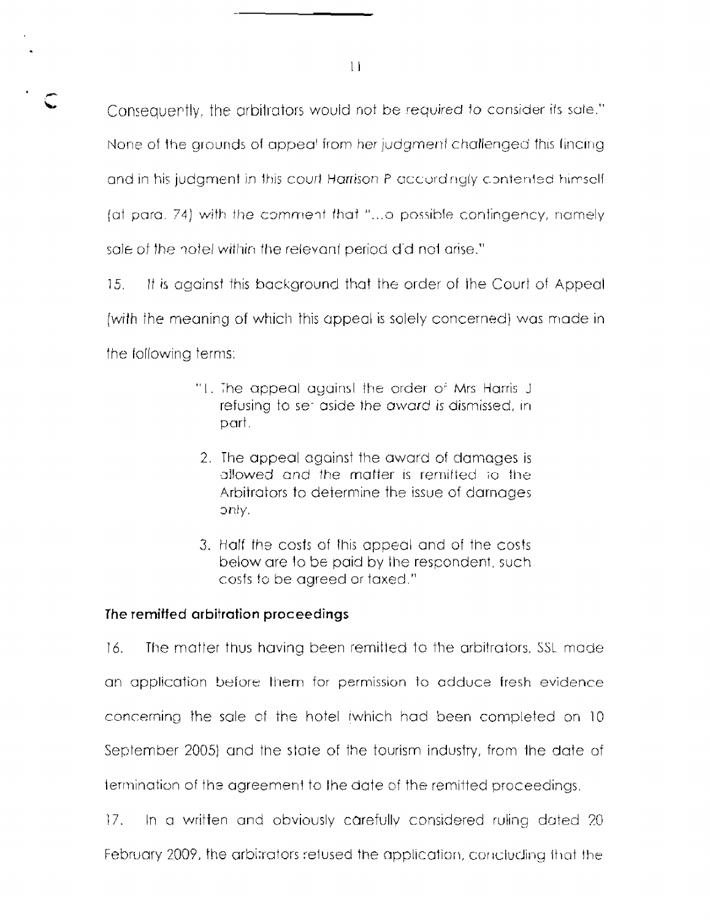Consequently, the arbitrators would not be required to consider its sale." None of the grounds of appea<sup>t</sup> from her judgment challenged this finaling and in his judgment in this court Harrison P accordingly contented himself. (at paral 74) with the comment that "...o possible contingency, namely sale of the notel within the relevant period did not arise."

 $15.$ It is against this background that the order of the Court of Appeal (with the meaning of which this appeal is solely concerned) was made in the following terms:

- "I. The appeal against the order of Mrs Harris J refusing to set aside the award is dismissed, in part.
- 2. The appeal against the award of damages is allowed and the matter is remitted to the Arbitrators to determine the issue of damages only.
- 3. Half the costs of this appeal and of the costs below are to be paid by the respondent, such costs to be agreed or taxed."

# The remiffed arbitration proceedings

16. The matter thus having been remitted to the arbitrators, SSL made an application before them for permission to adduce fresh evidence concerning the sale of the hotel iwhich had been completed on 10 September 2005) and the state of the tourism industry, from the date of termination of the agreement to the date of the remitted proceedings.

 $17.$ In a written and obviously carefully considered ruling dated 20 February 2009, the arbitrators retused the application, concluding that the

 $\mathbf{1}$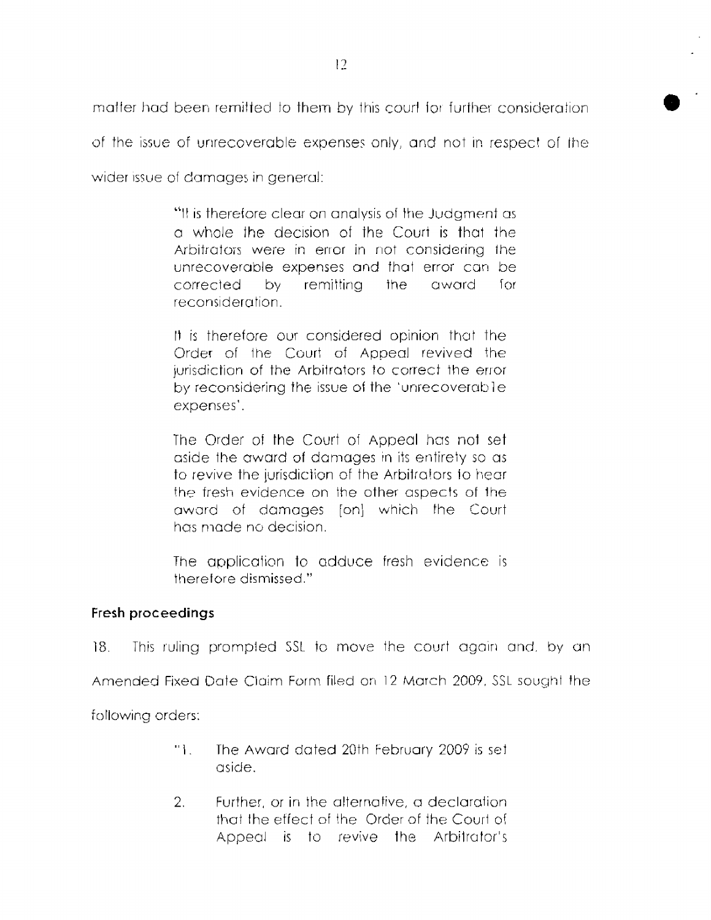matter had been remitted to them by this court for further consideration.

of the issue of unrecoverable expenses only, and not in respect of the

wider issue of damages in general:

"It is therefore clear on analysis of the Judament as a whole the decision of the Court is that the Arbitrators were in error in not considering the unrecoverable expenses and that error can be corrected by. remittina award  $for$ the reconsideration.

It is therefore our considered opinion that the Order of the Court of Appeal revived the jurisdiction of the Arbitrators to correct the error by reconsidering the issue of the 'unrecoverable expenses'.

The Order of the Court of Appeal has not set aside the award of damages in its entirety so as to revive the jurisdiction of the Arbitrators to hear the fresh evidence on the other aspects of the award of damages [on] which the Court has made no decision.

The application to adduce fresh evidence is therefore dismissed."

# Fresh proceedings

 $18.$ This ruling prompted SSL to move the court again and, by an

Amended Fixed Date Claim Form filed on 12 March 2009, SSL sought the

following orders:

- The Award dated 20th February 2009 is set "L aside.
- $2^{\circ}$ Further, or in the alternative, a declaration that the effect of the Order of the Court of Appeal is to revive the Arbitrator's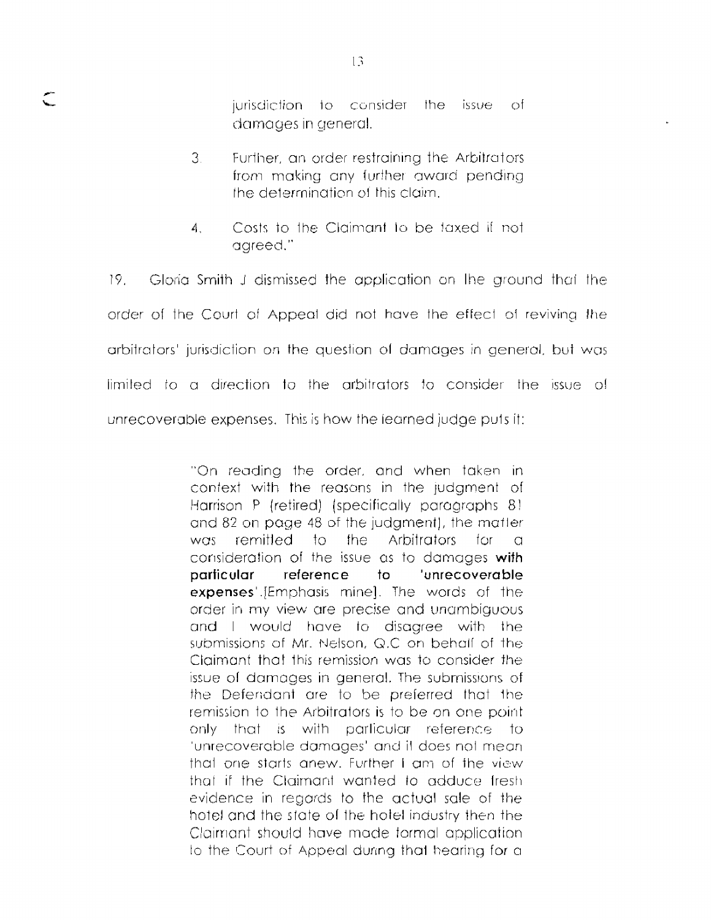jurisdiction to consider the issue of damages in general.

- $3<sub>1</sub>$ Further, an order restraining the Arbitrators from making any further award pending the determination of this claim.
- Costs to the Claimant to be taxed if not  $\overline{A}$ . aareed."

 $19<sup>2</sup>$ Gloria Smith J dismissed the application on the ground that the order of the Court of Appeal did not have the effect of reviving the arbitrators' jurisdiction on the question of damages in general, but was limited to a direction to the arbitrators to consider the issue of unrecoverable expenses. This is how the learned judge puts it:

> "On reading the order, and when taken in context with the reasons in the judgment of Harrison P (retired) (specifically paragraphs 8) and 82 on page 48 of the judgment), the matter remitted to the Arbitrators for was.  $\Omega$ consideration of the issue as to damages with particular reference 'unrecoverable to expenses'.JEmphasis minel. The words of the order in my view are precise and unambiguous and I would have to disagree with the submissions of Mr. Nelson, Q.C on behalf of the Claimant that this remission was to consider the issue of damages in general. The submissions of the Defendant are to be preferred that the remission to the Arbitrators is to be on one point only that is with particular reference to 'unrecoverable damages' and it does not mean that one starts anew. Further I am of the view that if the Claimant wanted to adduce fresh evidence in regards to the actual sale of the hotel and the state of the hotel industry then the Claimant should have made formal application to the Court of Appeal during that hearing for a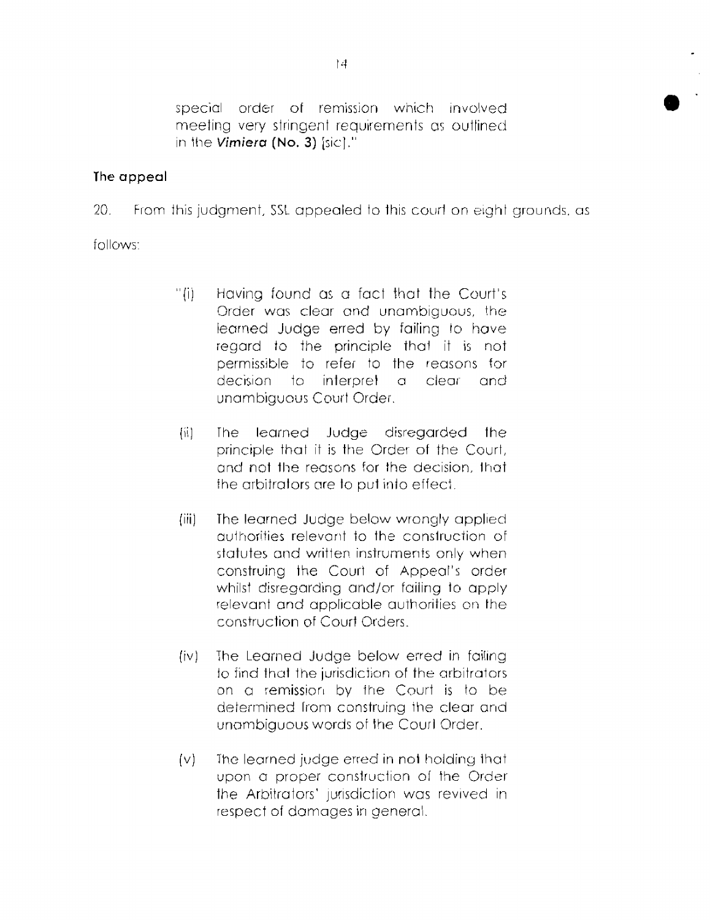special order of remission which involved meeting very stringent requirements as outlined in the Vimiera (No. 3) [sic]."

# The appeal

 $20 -$ From this judament, SSL appealed to this court on eight grounds, as

follows:

- $"$  (i)  $"$ Having found as a fact that the Court's Order was clear and unambiguous, the learned Judge erred by failing to have regard to the principle that it is not permissible to refer to the reasons for decision to interpret  $\Box$ clear and unambiquous Court Order.
- 揃。 The learned Judge disregarded the principle that it is the Order of the Court. and not the reasons for the decision, that the arbitrators are to put into effect.
- The learned Judge below wrongly applied  $(iii)$ authorities relevant to the construction of statutes and written instruments only when construing the Court of Appeal's order whilst disregarding and/or failing to apply relevant and applicable authorities on the construction of Court Orders.
- The Learned Judge below erred in failing  $(iv)$ to find that the jurisdiction of the arbitrators on a remission by the Court is to be determined from construing the clear and unambiguous words of the Courl Order.
- The learned judge erred in not holding that  $\{v\}$ upon a proper construction of the Order the Arbitrators' jurisdiction was revived in respect of damages in general.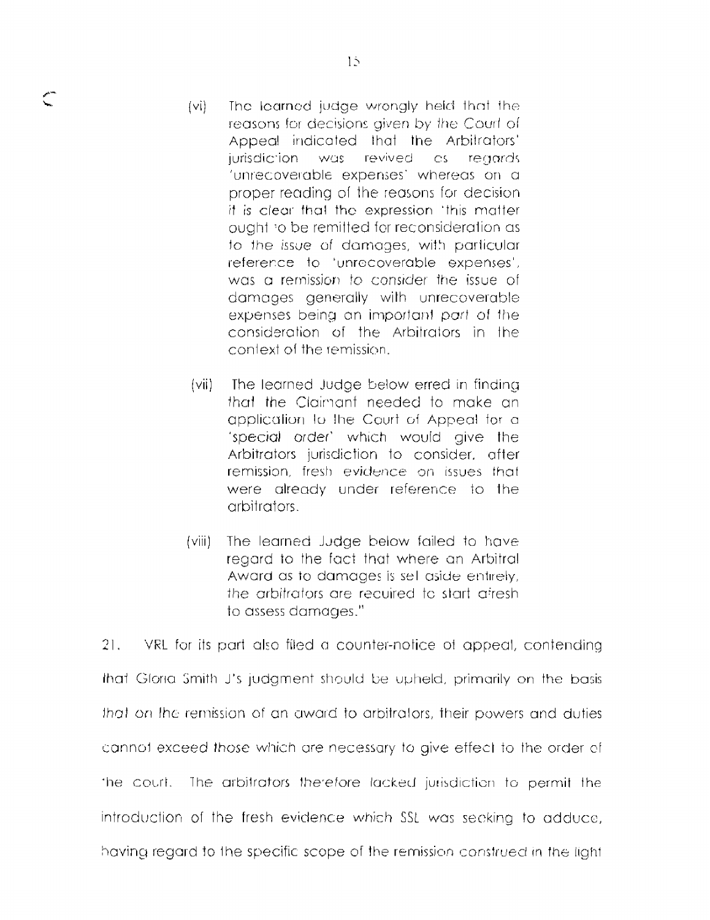- The learned judge wrongly held that the  $(v)$ reasons for decisions given by the Court of Appeal indicated that the Arbitrators' jurisdiction was revived as reaards 'unrecoverable expenses' whereas on a proper reading of the reasons for decision it is clear that the expression 'this matter ought to be remitted for reconsideration as to the issue of damages, with particular reference to 'unrecoverable expenses', was a remission to consider the issue of damages generally with unrecoverable expenses being an important part of the consideration of the Arbitrators in the context of the remission
- (vii) The learned Judge below erred in finding that the Claimant needed to make an application to the Court of Appeal for a 'special order' which would give the Arbitrators jurisdiction to consider, after remission, fresh evidence on issues that were already under reference to the arbitrators.
- $(viii)$ The learned Judge below failed to have regard to the fact that where an Arbitral Award as to damages is sell aside entirely, the arbitrators are recuired to start afresh to assess damages."

 $21.$ VRL for its part also filed a counter-notice of appeal, contending that Gloria Smith J's judgment should be upheld, primarily on the basis that on the remission of an award to arbitrators, their powers and duties cannot exceed those which are necessary to give effect to the order of the court. The arbitrators therefore lacked jurisdiction to permit the introduction of the fresh evidence which SSL was seeking to adduce. having regard to the specific scope of the remission construed in the light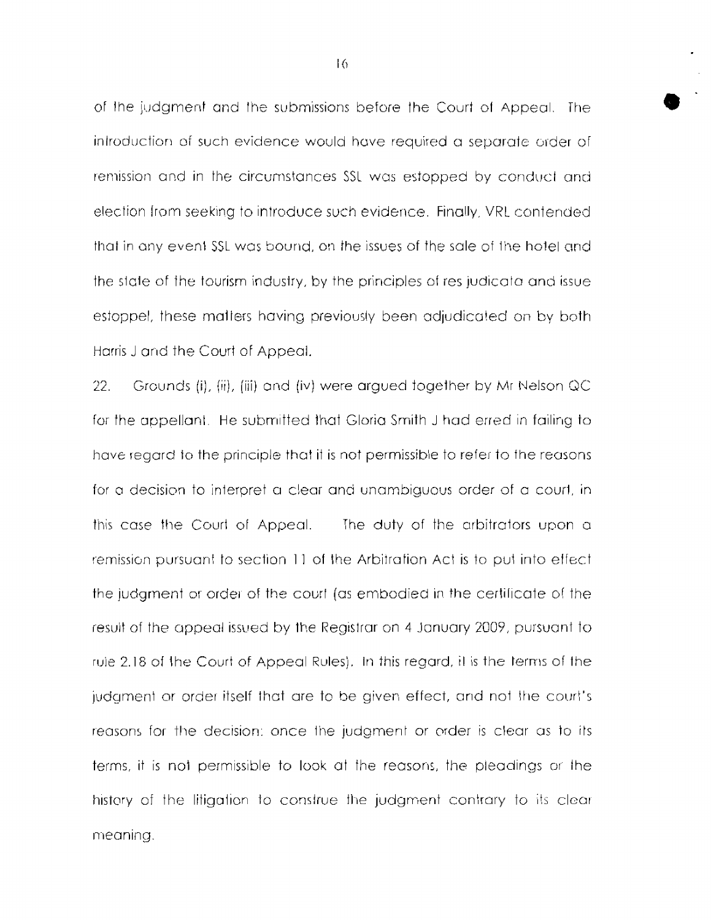of the judament and the submissions before the Court of Appeal. The introduction of such evidence would have required a separate order of remission and in the circumstances SSL was estopped by conduct and election from seeking to introduce such evidence. Finally, VRL contended that in any event SSL was bound, on the issues of the sale of the hotel and the state of the tourism industry, by the principles of res-judicata and issue estoppel, these matters having previously been adjudicated on by both Harris J and the Court of Appeal.

 $22.$ Grounds (i), (ii), (iii) and (iv) were argued together by Mr Nelson QC for the appellant. He submitted that Gloria Smith J had erred in failing to have regard to the principle that it is not permissible to refer to the reasons for a decision to interpret a clear and unambiguous order of a court, in this case the Court of Appeal. The duty of the arbitrators upon a remission pursuant to section 11 of the Arbitration Act is to put into effect the judgment or order of the court (as embodied in the certificate of the result of the appeal issued by the Registrar on 4 January 2009, pursuant to rule 2.18 of the Court of Appeal Rules). In this regard, it is the terms of the judgment or order itself that are to be given effect, and not the court's reasons for the decision; once the judgment or order is clear as to its terms, it is not permissible to look at the reasons, the pleadings or the history of the litigation to construe the judgment contrary to its clear meanina.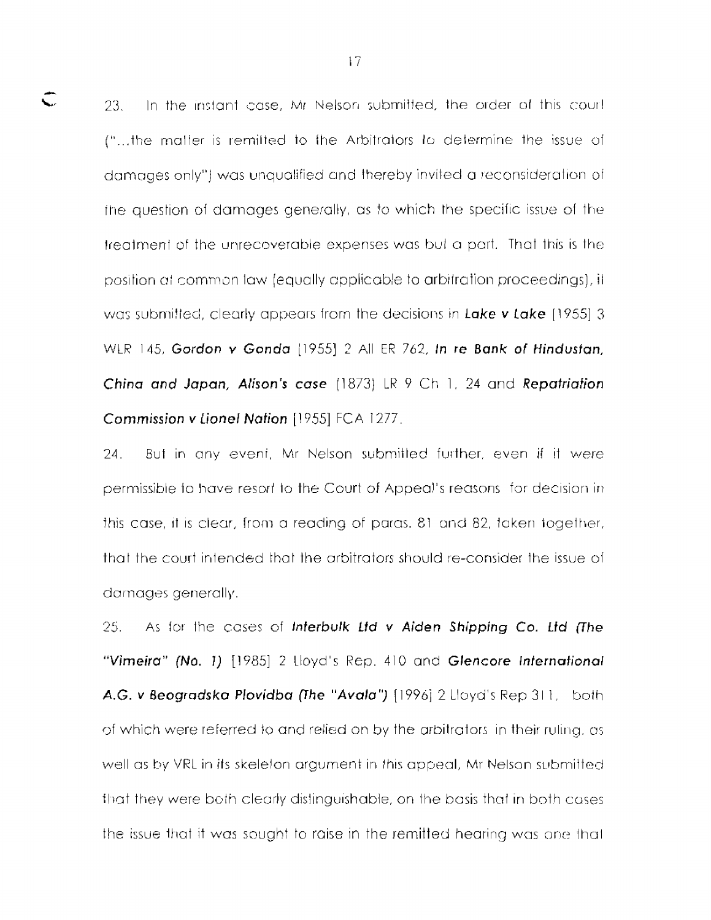23. In the instant case, Mr Nelson submitted, the order of this court ("...the matter is remitted to the Arbitrators to determine the issue of damages only") was unqualified and thereby invited a reconsideration of the question of damages generally, as to which the specific issue of the treatment of the unrecoverable expenses was but a part. That this is the position at common law (equally applicable to arbitration proceedings), it was submitted, clearly appears from the decisions in Lake v Lake (1955) 3 WLR 145, Gordon v Gonda (1955) 2 All ER 762, In re Bank of Hindustan, China and Japan, Alison's case (1873) LR 9 Ch 1, 24 and Repatriation Commission v Lionel Nation [1955] FCA 1277.

24. But in any event, Mr Nelson submitted further, even if it were permissible to have resort to the Court of Appeal's reasons for decision in this case, it is clear, from a reading of paras, 81 and 82, taken together, that the court intended that the arbitrators should re-consider the issue of damages generally.

25. As for the cases of Interbulk Ltd v Aiden Shipping Co. Ltd (The "Vimeira" (No. 1) [1985] 2 Lloyd's Rep. 410 and Glencore International A.G. v Beogradska Plovidba (The "Avala") (1996) 2 Lloyd's Rep 311, both of which were referred to and relied on by the arbitrators in their ruling, as well as by VRL in its skeleton argument in this appeal, Mr Nelson submitted that they were both clearly distinguishable, on the basis that in both cases the issue that it was sought to raise in the remitted hearing was one that

 $\subset$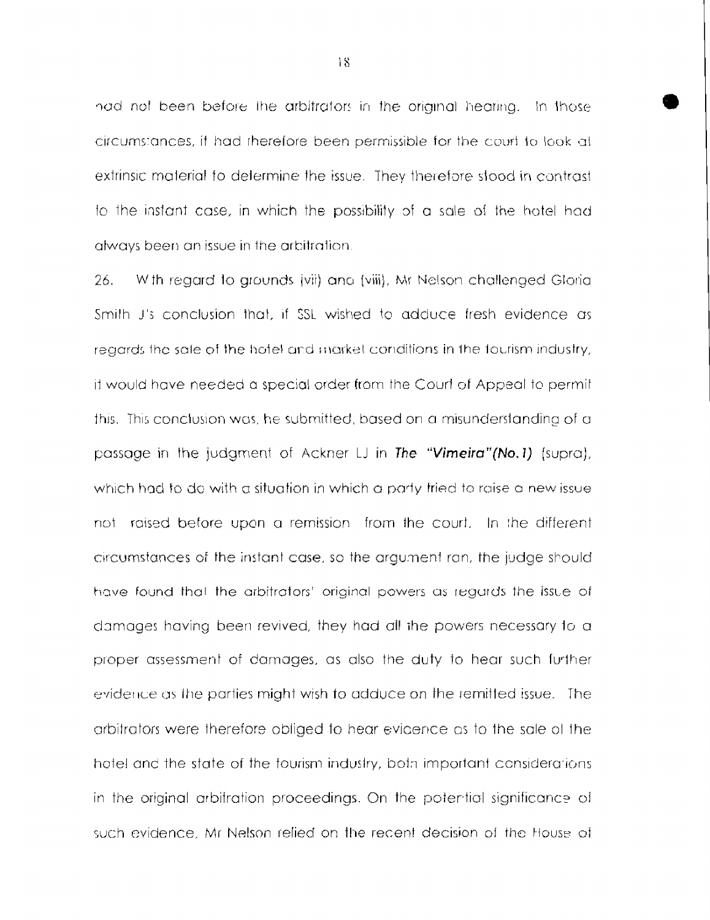had not been before the arbitrators in the original hearing. In those circumstances, it had therefore been permissible for the court to look at extrinsic material to determine the issue. They therefore stood in contrast to the instant case, in which the possibility of a sale of the hotel had always been an issue in the arbitration.

26. With reaard to grounds (vii) and (viii). Mr Nelson challenged Gloria. Smith J's conclusion that, if SSL wished to adduce fresh evidence as regards the sale of the hotel and market conditions in the fourism industry, it would have needed a special order from the Court of Appeal to permit this. This conclusion was, he submitted, based on a misunderstanding of a passage in the judgment of Ackner LJ in The "Vimeira"(No.1) (supra), which had to do with a situation in which a party fried to raise a new issue not raised before upon a remission from the court. In the different circumstances of the instant case, so the argument ran, the judge should have found that the arbitrators' original powers as regards the issue of damages having been revived, they had all the powers necessary to a proper assessment of damages, as also the duty to hear such further evidence as the parties might wish to adduce on the remitted issue. The arbitrators were therefore obliged to hear evidence as to the sale of the hotel and the state of the fourism industry, both important considerations in the original arbitration proceedings. On the potential significance of such evidence. Mr Nelson relied on the recent decision of the House of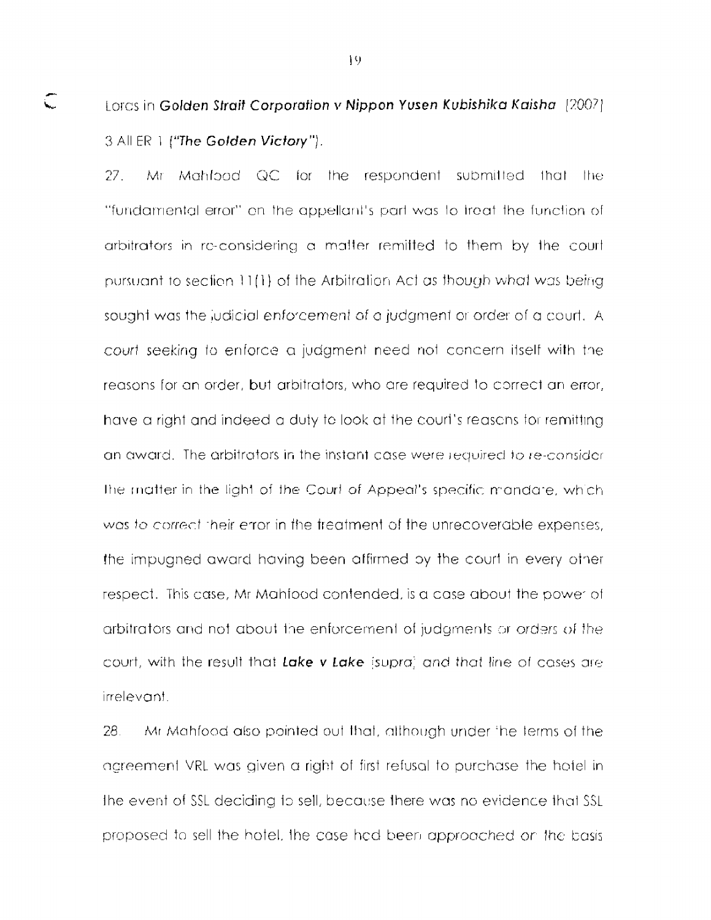# Lords in Golden Strait Corporation v Nippon Yusen Kubishika Kaisha [2007]. 3 All ER 1 ("The Golden Victory").

 $\subset$ 

Mr Mahfbod QC for the respondent submitted that the  $27.$ "fundamental error" on the appellant's part was to freat the function of arbitrators in re-considering a matter remitted to them by the court pursuant to section 11(1) of the Arbitration Act as though what was being sought was the judicial enforcement of a judgment or order of a court. A court seeking to enforce a judgment need not concern itself with the reasons for an order, but arbitrators, who are required to correct an error, have a right and indeed a duty to look at the court's reasons for remitting an award. The arbitrators in the instant case were required to re-consider The matter in the light of the Court of Appeal's specific mandare, which was to correct their error in the treatment of the unrecoverable expenses. the impugned award having been affirmed by the court in every other respect. This case, Mr Mahfood contended, is a case about the power of arbitrators and not about the enforcement of judgments or orders of the court, with the result that Lake v Lake (supra) and that line of cases are irrelevant.

Mr Mahfood also pointed out that, although under the terms of the 28. acreement VRL was given a right of first refusal to purchase the hotel in the event of SSL deciding to sell, because there was no evidence that SSL proposed to sell the hotel, the case had been approached on the basis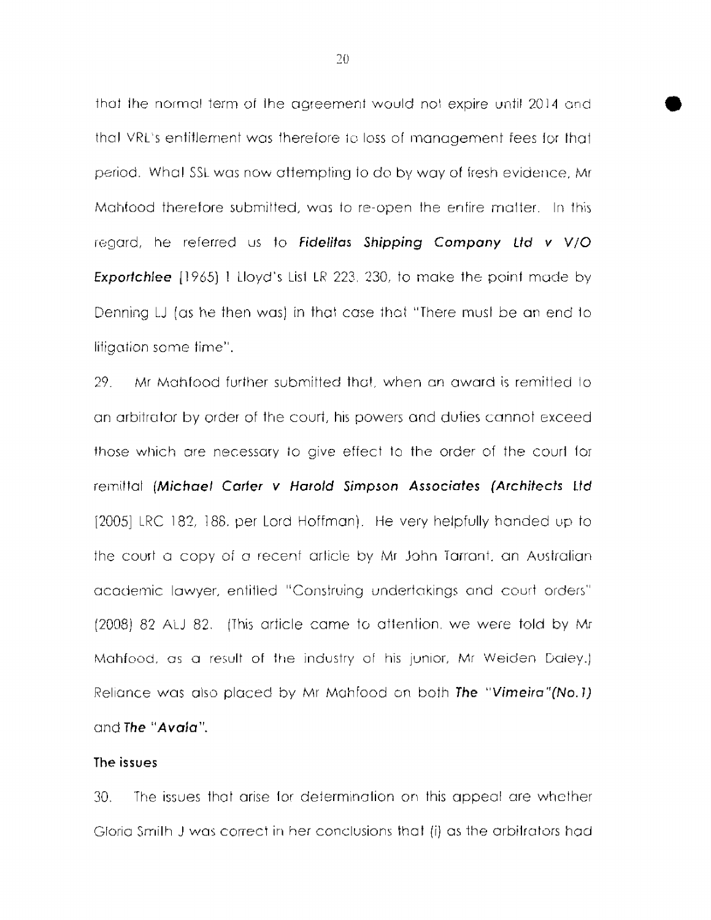that the normal term of the agreement would not expire until 2014 and thal VRL's entitlement was therefore to loss of management fees for that period. What SSL was now attempting to do by way of fresh evidence, Mr Mahfood therefore submitted, was to re-open the enfire matter. In this regard, he referred us to Fidelitas Shipping Company Ltd v V/O **Exportchlee** [1965] 1 Lloyd's List LR 223, 230, to make the point made by Denning LJ (as he then was) in that case that "There must be an end to litiaation some time".

29. Mr Mahfood further submitted that, when an award is remitted to an arbitrator by order of the court, his powers and duties cannot exceed those which are necessary to aive effect to the order of the courl for remittal (Michael Carter v Harold Simpson Associates (Architects Ltd) 120051 LRC 182, 188, per Lord Hoffman). He very helpfully handed up to the court a copy of a recent article by Mr John Tarrant, an Australian academic lawyer, entitled "Construing undertakings and court orders" (2008) 82 ALJ 82. (This article came to attention, we were told by Mr Mahfood, as a result of the industry of his junior, Mr Weiden Daley.) Reliance was also placed by Mr Mahfood on both The "Vimeira"(No.1) and The "Avala".

#### The issues

 $30<sub>1</sub>$ The issues that arise for determination on this appeal are whether Gloria Smilh J was correct in her conclusions that (i) as the arbitrators had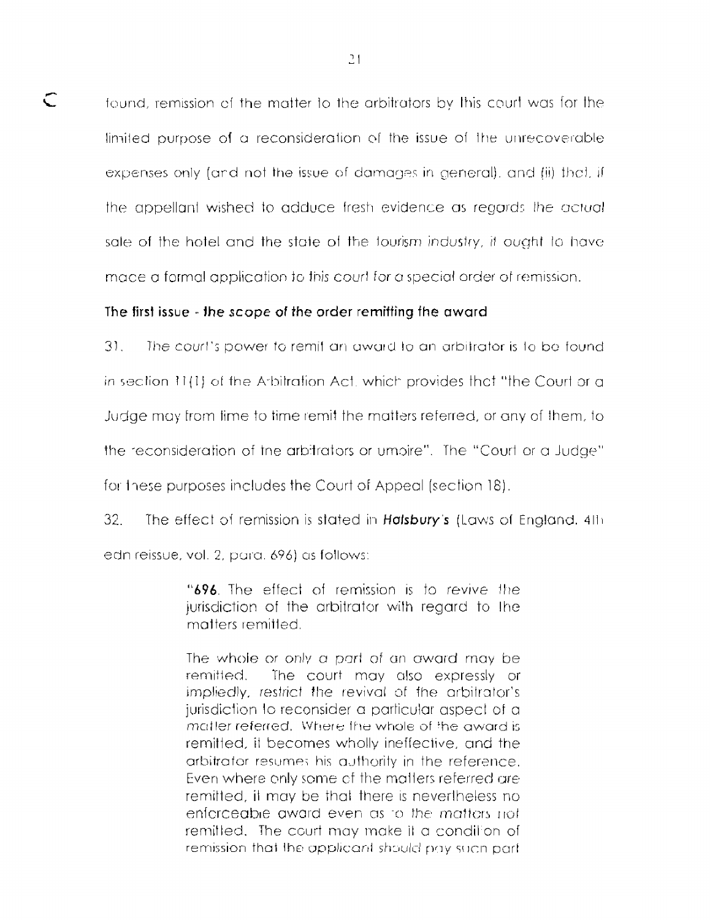found, remission of the matter to the arbitrators by this court was for the limited purpose of a reconsideration of the issue of the unrecoverable expenses only (and not the issue of damages in general), and (ii) that, if the appellant wished to adduce fresh evidence as regards the actual sale of the hotel and the state of the tourism industry, it ought to have made a formal application to this court for a special order of remission.

## The first issue - the scope of the order remitting the award

 $\subset$ 

 $31.$ The court's power to remifian award to an arbitrator is to be found in section 11(1) of the Arbitration Act, which provides that "the Court or a Judge may from time to time remit the matters referred, or any of them, to the reconsideration of the arbitrators or umbire". The "Court or a Judge" for these purposes includes the Court of Appeal (section 18).

 $32<sup>2</sup>$ The effect of remission is stated in Halsbury's (Laws of England, 4th edn reissue, vol. 2, para. 696) as follows:

> "696. The effect of remission is to revive the jurisdiction of the arbitrator with regard to the matters remitted.

> The whole or only a part of an award may be remitted. The court may also expressly or impliedly, restrict the revival of the arbitrator's jurisdiction to reconsider a particular aspect of a matter referred. Where the whole of the award is remitted, it becomes wholly ineffective, and the arbitrator resumes his authority in the reference. Even where only some of the matters referred are remitted, if may be that there is nevertheless no enforceable award even as to the matters not remitted. The court may make it a condition of remission that the applicant should pay such part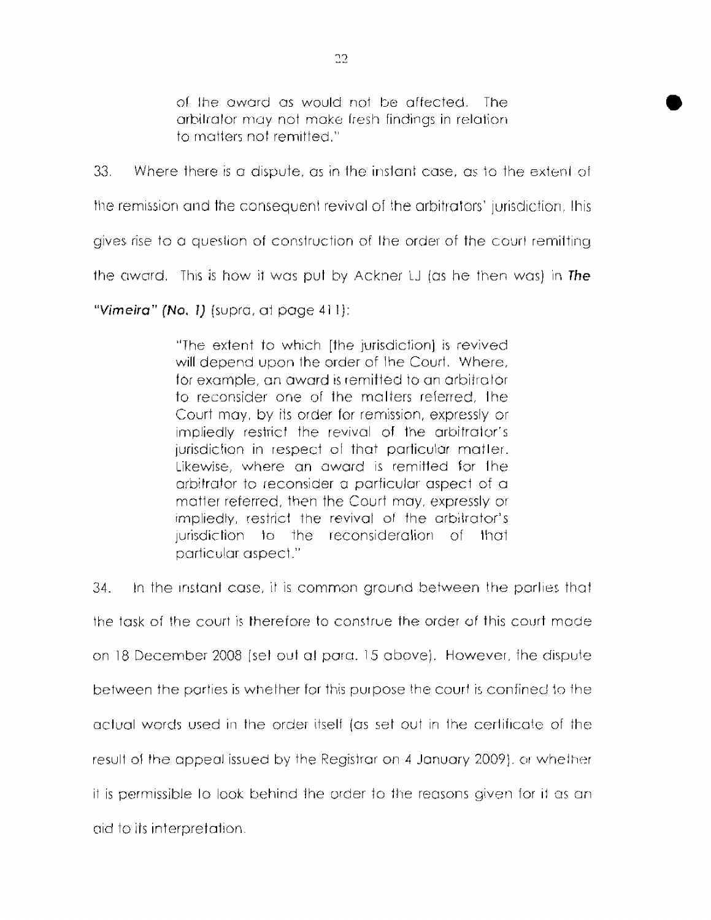of the award as would not be affected. The arbilrator may not make Iresh findings in relation to matters not remitted."

33. Where there is a dispute, as in the instant case, as to the extent of

the remission and the consequent revival of the arbitrators' jurisdiction, this

gives rise to a question of construction of the order of the court remitting

ihe award. This is how it was put by Ackner 1J (as he hen was) in **The** 

*"Vimeira"* **(No.** I) (supra, af page **4** 1 1)

"The extent to which [the jurisdiction] is revived will depend upon the order of lhe Court. Where, for example, an award is remitted to an arbitrator to reconsider one of the malters referred, Ihe Court may, by its order for remission, expressly or impliedly restrict the revival of the arbitrator's jurisdiction in respect of that particular matter. Likewise, where an award is remitted for Ihe arbitrator to reconsider a parficulur aspect of a matter referred, then the Court may, expressly or impliedly, restrict the revival of the arbitrator's jurisdiction to the reconsideration of that particular aspect."

 $34.$  In the instant case, it is common ground between the parlies that the task of the court is therefore to construe the order of this court made on 18 December 2008 (set out at paru. 15 above). However, the dispute between the purties is whether for this purpose the courl is confined to fhe actual words used in the order itself (as set out in the certificate of the result of the appeal issued by the Registrar on 4 January 2009). or whether it is permissible to look behind the order to the reasons given for it as an crid to its interpretation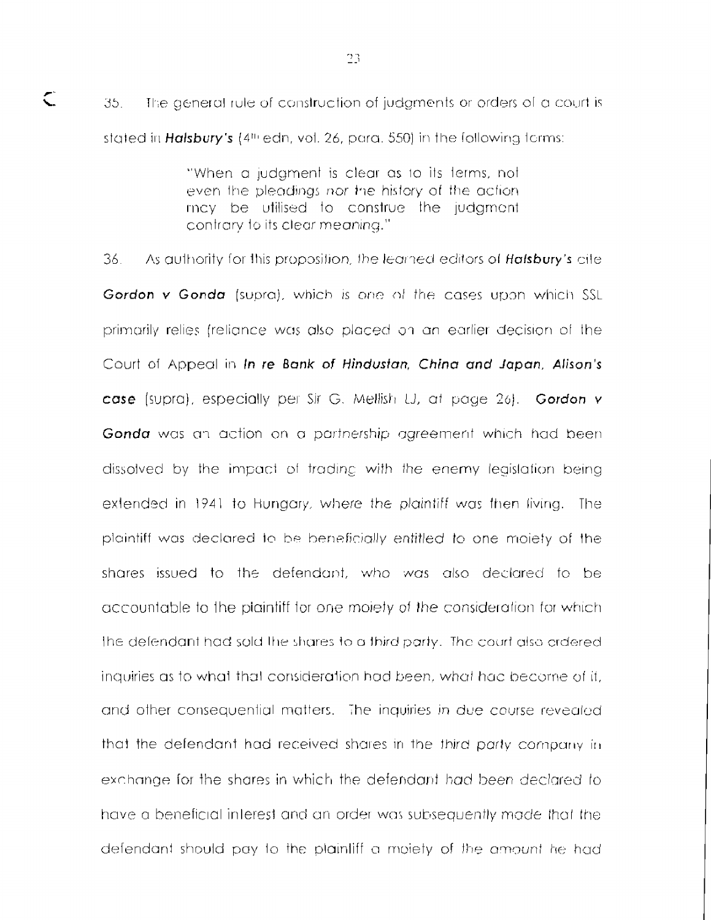The general rule of construction of judgments or orders of a court is 35. stated in Halsbury's (4th edn, vot. 26, para, 550) in the following forms:

 $\subset$ 

"When a judgment is clear as to its terms, not even the pleadings nor the history of the action. may be utilised to construe the judgment contrary to its clear meaning."

36. As authority for this proposition, the learned editors of **Halsbury's** cite Gordon v Gonda (supra), which is one of the cases upon which SSL primarily relies (relignce was also placed on an earlier decision of the Court of Appeal in In re Bank of Hindustan, China and Japan, Alison's case (supra), especially per Sir G. Mellish LJ, at page 26). Gordon v Gonda was an action on a partnership agreement which had been dissolved by the impact of trading with the enemy legislation being extended in 1941 to Hungary, where the plaintiff was then living. The plaintiff was declared to be beneficially entitled to one moiety of the shares issued to the defendant, who was also declared to be accountable to the plaintiff for one mojety of the consideration for which the defendant had sold the shares to a third party. The court also crdered inquiries as to what that consideration had been, what had become of it. and other consequential matters. The inquiries in due course revealed that the defendant had received shares in the third party company in exchange for the shares in which the defendant had been declared to have a beneficial interest and an order was subsequently made that the defendant should pay to the plaintiff a moiety of the amount he had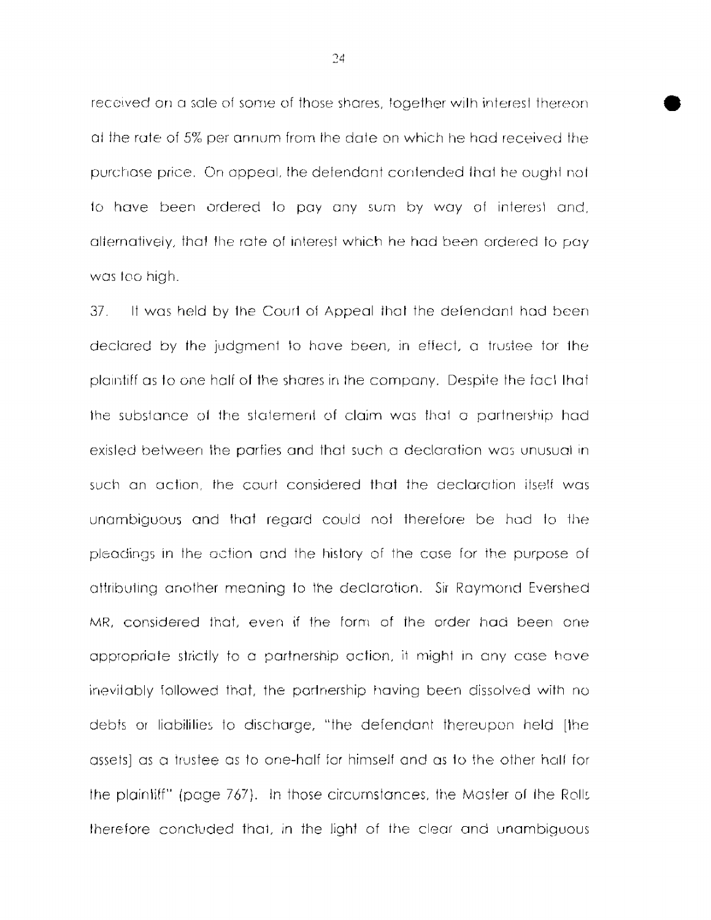received on a sale of some of those shares, together with interest thereon. at the rate of 5% per annum from the date on which he had received the purchase price. On appeal, the defendant contended that he ought not to have been ordered to pay any sum by way of interest and, alternatively, that the rate of interest which he had been ordered to pay was too high.

If was held by the Court of Appeal that the defendant had been  $37.$ declared by the judgment to have been, in effect, a trustee for the plaintiff as to one half of the shares in the company. Despite the fact that the substance of the statement of claim was that a partnership had existed between the parties and that such a declaration was unusual in such an action, the court considered that the declaration itself was unambiguous and that regard could not therefore be had to the pleadings in the action and the history of the case for the purpose of attributing another meaning to the declaration. Sir Raymond Evershed MR, considered that, even if the form of the order had been one appropriate strictly to a partnership action, it might in any case have inevitably followed that, the partnership having been dissolved with no debts or liabilities to discharge, "the defendant thereupon held [the assets) as a trustee as to one-half for himself and as to the other half for the plaintiff" (page 767). In those circumstances, the Master of the Rolls therefore concluded that, in the light of the clear and unambiguous

24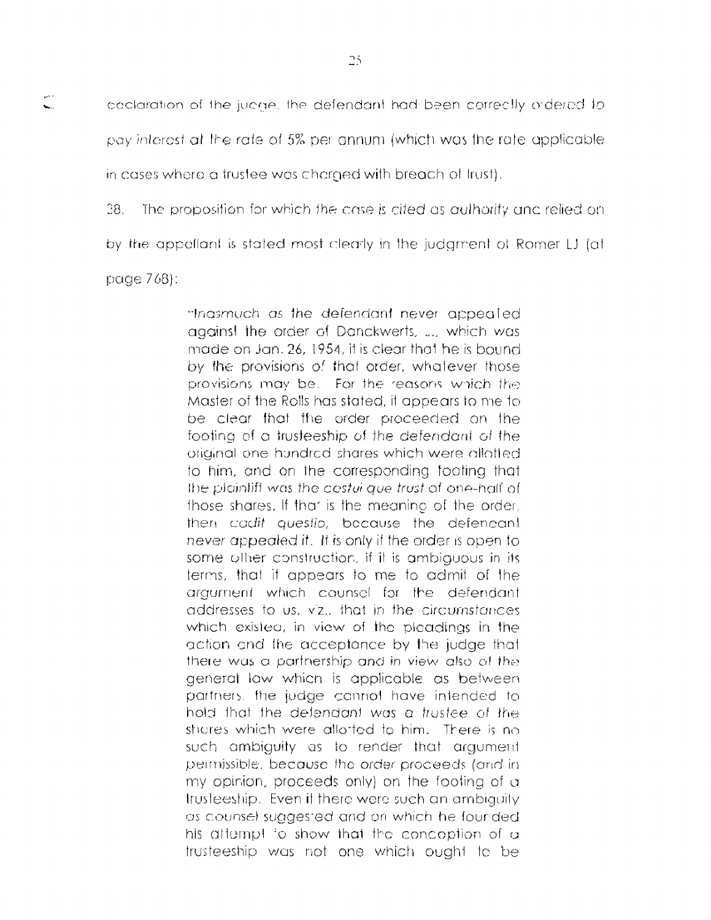coclaration of the judge, the defendant had been correctly ordered to pay interest at the rate of 5% per annum (which was the rate applicable in cases where a trustee was charged with breach of trust).

 $28.$ The proposition for which the case is cited as authority and relied on

by the appellant is stated most clearly in the judament of Romer LJ (at

page  $768$ :

 $\mathbf{L}$ 

"Ingsmuch as the defendant never appealed against the order of Danckwerts, J., which was made on Jan. 26, 1954, it is clear that he is bound. by the provisions of that order, whatever those provisions may be. For the reasons which the Master of the Rolls has stated, it appears to me to be clear that the order proceeded on the footing of a trusteeship of the defendant of the original one hundred shares which were allotted. to him, and on the corresponding footing that the plaintiff was the cestul que trust of one-half of those shares. If that is the meaning of the order. then cadit questio, because the defencant never appealed it. It is only if the order is open to some other construction, if it is ambiguous in its terms, that it appears to me to admit of the argument which counsel for the defendant addresses to us, viz., that in the circumstances which existed, in view of the pleadings in the action and the acceptance by the judge that there was a partnership and in view also of the general law which is applicable as between partners, the judge connot have intended to hold that the defendant was a trustee of the shares which were allotted to him. There is no such ambiguity as to render that argument permissible, because the order proceeds (and in my opinion, proceeds only) on the footing of a trusteeship. Even if there were such an ambiguity as counsel suggested and on which he founded his attempt to show that the conception of a trusteeship was not one which ought to be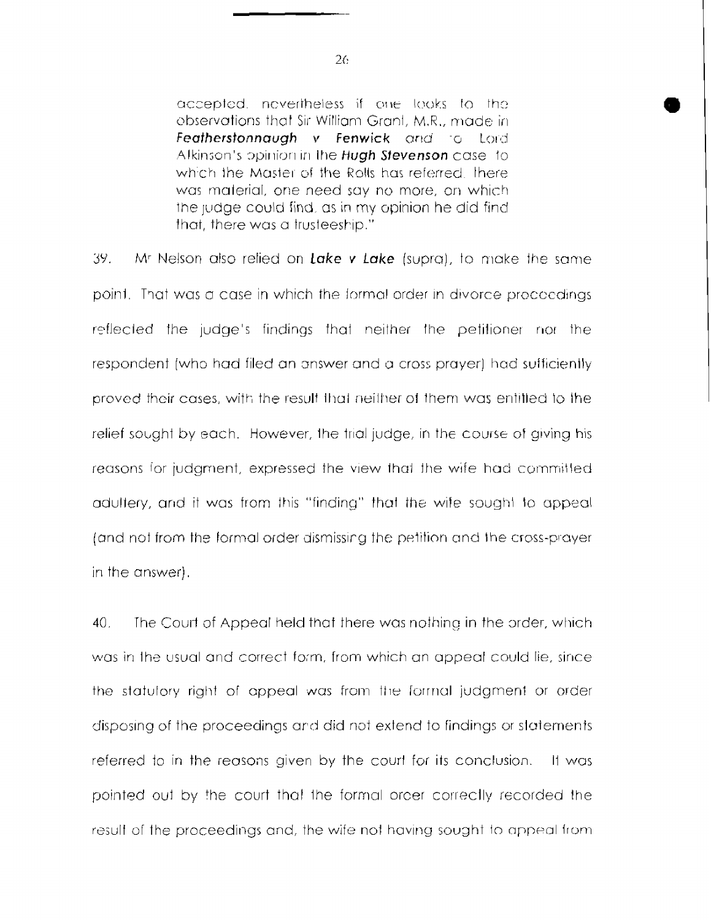accepted, nevertheless if one looks to the observations that Sir William Grant, M.R., made in Featherstonnaugh v Fenwick and to Lord Alkinson's opinion in the Hugh Stevenson case to which the Master of the Rolls has referred. There was material, one need say no more, on which the judge could find, as in my opinion he did find that, there was a trusteeship."

39. Mr Nelson also relied on Lake v Lake (supra), to make the same point. That was a case in which the formal order in divorce procoedings reflected the judge's findings that neither the petitioner nor the respondent (who had filed an answer and a cross prayer) had sufficiently proved their cases, with the result that neither of them was entitled to the relief sought by each. However, the trial judge, in the course of giving his reasons for judgment, expressed the view that the wife had committed adultery, and it was from this "finding" that the wife sought to appeal (and not from the formal order dismissing the petition and the cross-prayer in the answer).

 $40.$ The Court of Appeal held that there was nothing in the order, which was in the usual and correct form, from which an appeal could lie, since the statulory right of appeal was from the formal judgment or order disposing of the proceedings and did not extend to findings or statements referred to in the reasons given by the court for its conclusion. It was pointed out by the court that the formal order correctly recorded the result of the proceedings and, the wife not having sought to appeal from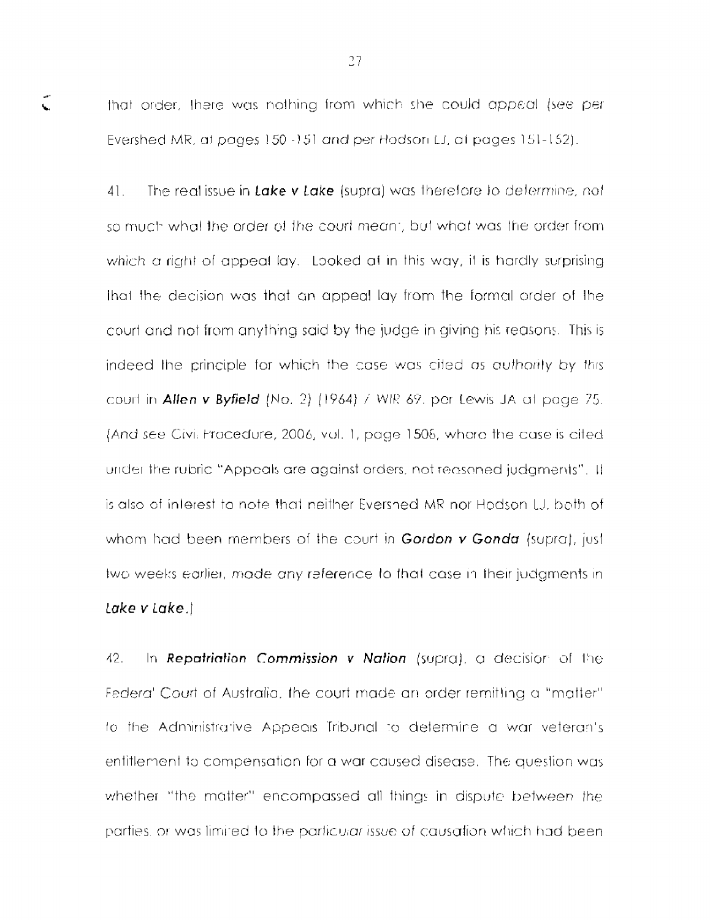that order. there was nothing from which she could appeal (see per Evershed MR, at pages 150 -151 and per Hodson LJ, at pages 151-152).

 $\zeta$ 

 $41.$ The realissue in Lake v Lake (supra) was therefore to determine, not so much what the order of the court meant, but what was the order from which a right of appeal lay. Looked at in this way, it is hardly surprising that the decision was that an appeal lay from the formal order of the court and not from anything said by the judge in giving his reasons. This is indeed the principle for which the case was cited as authority by this court in Allen v Byfield (No. 2) (1964) / WIR 69, por Lewis JA at page 75. (And see Civil Procedure, 2006, vol. 1, page 1508, where the case is cited under the rubric "Appoals are against orders, not reasoned judgments". It is also of interest to note that neither Evershed MR nor Hodson LJ, both of whom had been members of the court in Gordon  $v$  Gonda (supra), just two weeks earlier, made any reference to that case in their judgments in lake v Lake.)

 $42.$ In Repatriation Commission v Nation (supra), a decision of the Federal Court of Australia, the court made an order remitting a "matter" to the Administrative Appeals Tribunal to determine a war veterants entitlement to compensation for a war caused disease. The question was whether "the matter" encompassed all things in dispute between the parties, or was limited to the particular issue of causation which had been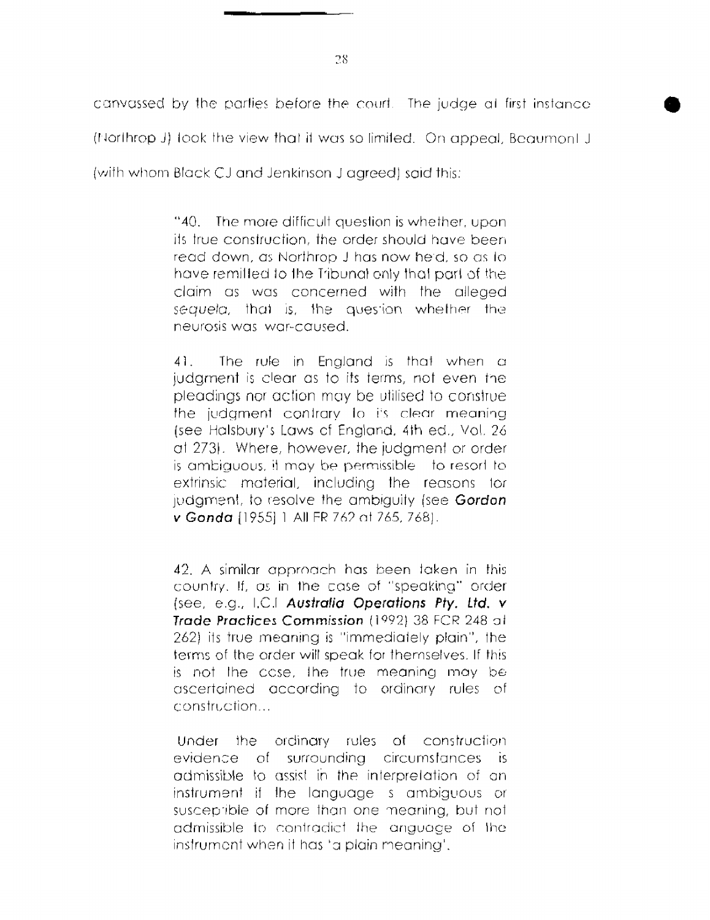canvassed by the parties before the court. The judge at first instance (Northrop J) took the view that it was so limited. On appeal, Beaumont J. (with whom Black CJ and Jenkinson J agreed) said this:

> "40. The more difficult question is whether, upon its true construction, the order should have been read down, as Northrop J has now held, so as to have remifted to the Tribunal only that part of the claim as was concerned with the alleged sequela, that is, the question whether the neurosis was war-caused.

> $41.$ The rule in England is that when a judament is clear as to its terms, not even the pleadings nor action may be utilised to construe the judgment contrary to its clear meaning (see Halsbury's Laws of England, 4th ed., Vol. 26) at 273). Where, however, the judament or order is ambiguous, it may be permissible to resort to extrinsic material, including the reasons for judgment, to resolve the ambiguity (see Gordon v Gonda [1955] 1 All FR 762 at 765, 768).

> 42. A similar approach has been taken in this country. If, as in the case of "speaking" order (see, e.g., I.C.I Australia Operations Pty. Ltd. v Trade Practices Commission (1992) 38 FCR 248 at 262) its true meaning is "immediately plain", the terms of the order will speak for themselves. If this is not the case. The true meaning may be ascertained according to ordinary rules of construction...

> Under the ordinary rules of construction evidence of surrounding circumstances is admissible to assist in the interpretation of an instrument if the language s ambiguous or susceptible of more than one meaning, but not admissible to contradict the anguace of the instrument when it has 'a plain meaning'.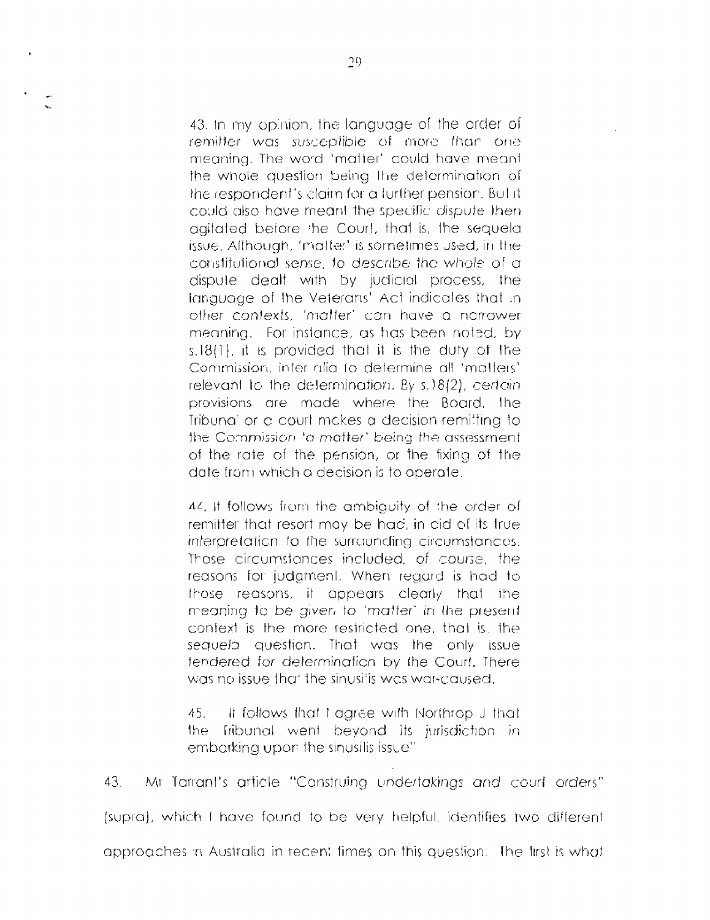43. In my opinion, the language of the order of remitter was susceptible of more than one meaning. The word 'matter' could have meant the whole question being the determination of the respondent's claim for a further pension. But it could also have meant the specific dispute then agitated before the Court, that is, the sequela issue. Although, 'matter' is sometimes used, in the constitutional sense, to describe the whole of a dispute dealt with by judicial process, the language of the Veterans' Act indicates that in other contexts, 'matter' can have a norrower meaning. For instance, as has been noted, by s.18(1). it is provided that it is the duty of the Commission, inter alia to determine all 'matters' relevant to the determination. By s.18(2), certain provisions are made where the Board. The Tribuna" or a court makes a decision remitting to the Commission 'a matter' being the assessment of the rate of the pension, or the fixing of the date from which a decision is to operate.

44. It follows from the ambiguity of the order of remitter that resort may be had, in aid of its true interpretation to the surrounding circumstances. Those dircumstances included, of course, the reasons for judament. When regard is had to those reasons, it appears clearly that the meaning to be given to 'matter' in the present context is the more restricted one, that is, the sequela question. That was the only issue tendered for determination by the Court. There was no issue that the sinusitis was war-caused.

45. It follows that I garee with Northrop J that the l fribunal went bevond its jurisdiction in embarking upon the sinusitis issue"

43. Mr Tarrant's article "Construing undertakings and court orders" (supra), which I have found to be very helpful, identifies two different approaches in Australia in recent times on this question. The first is what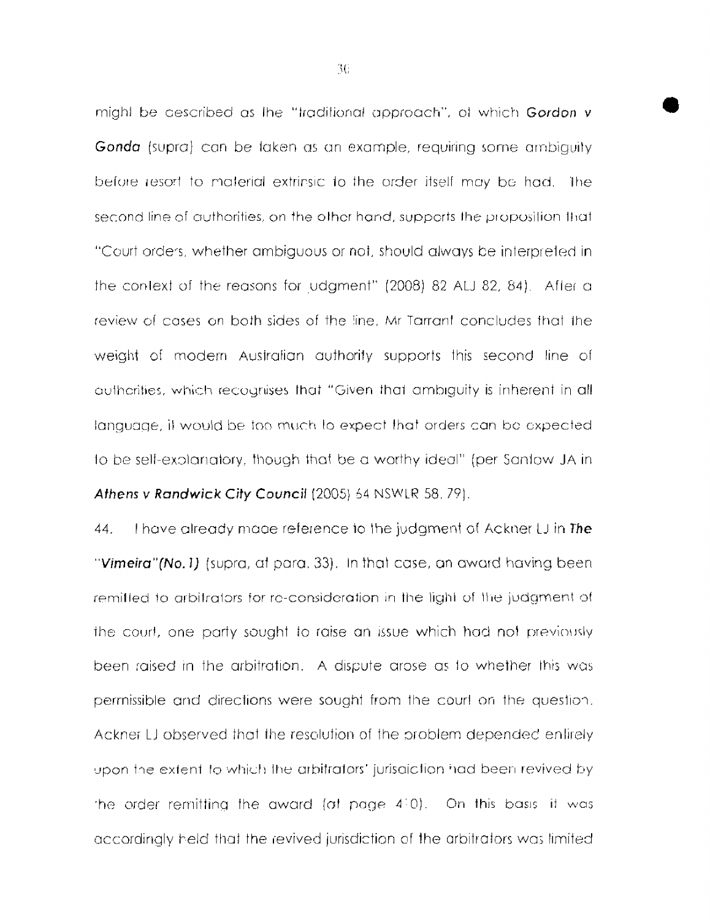might be described as the "traditional approach", of which Gordon v Gonda (supra) can be taken as an example, requiring some ambiguity before resort to material extrinsic to the order itself may be had. The second line of authorities, on the other hand, supperts the proposition that "Court orders, whether ambiguous or not, should always be interpreted in the context of the reasons for udgment" (2008) 82 ALJ 82, 84). After a review of cases on both sides of the line, Mr Tarrant concludes that the weight of modern Australian authority supports this second line of authcrities, which recognises that "Given that ambiguity is inherent in all language, it would be too much to expect that orders can be expected to be self-explainatory, though that be a worthy ideal" (per Santow JA in Athens v Randwick City Council (2005) 54 NSWLR 58, 79).

Thave already made reference to the judgment of Ackner LJ in The 44. "Vimeira" (No. 1) (supra, at para, 33). In that case, an award having been remitted to arbitrators for re-consideration in the light of the judgment of the court, one party sought to raise an issue which had not previously been raised in the arbitration. A dispute arose as to whether this was permissible and directions were sought from the court on the question. Ackner LJ observed that the resolution of the problem depended enlirely upon the extent to which the arbitrators' jurisaiction had been revived by the order remitting the award (at page  $4(0)$ ). On this basis it was accordingly held that the revived jurisdiction of the arbitrators was limited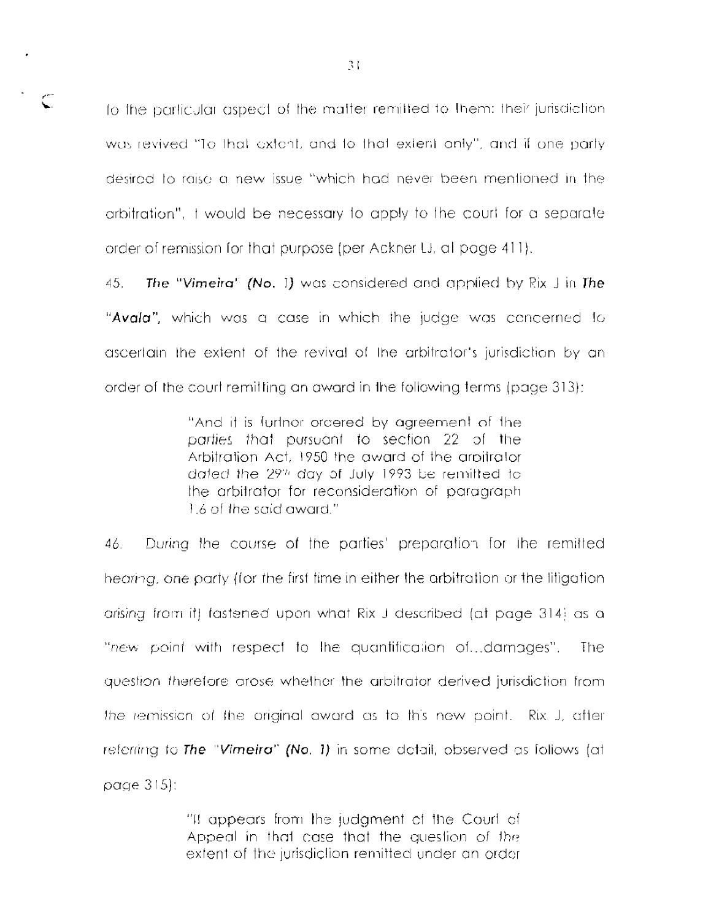to the particular aspect of the matter remitted to them: their jurisdiction was revived "To that extent, and to that extent only", and if one party desired to raise a new issue "which had never been mentioned in the arbitration", I would be necessary to apply to the court for a separate order of remission for that purpose (per Ackner LJ, al page 411).

 $45.$ The "Vimeira" (No. 1) was considered and applied by Rix J in The "Avala", which was a case in which the judge was concerned to ascertain the extent of the revival of the arbitrator's jurisdiction by an order of the court remitting an award in the following terms (page 313):

> "And it is furtner ordered by agreement of the parties that pursuant to section 22 of the Arbitration Act, 1950 the award of the arbitrator dated the 29th day of July 1993 be remitted to the arbitrator for reconsideration of paragraph 1.6 of the said award."

During the course of the parties' preparation for the remitted 46. hearing, one party (for the first time in either the arbitration or the litigation arising from it) fastened upon what Rix J described (at page 314) as a "new point with respect to the quantification of...damages". -The i guestion therefore grose whether the arbitrator derived jurisdiction from the remission of the original award as to this new point. Rix J, after referring to The "Vimetra" (No. 1) in some detail, observed as follows (at page  $315$ :

> "If appears from the judgment of the Court of Appeal in that case that the question of the extent of the jurisdiction remitted under an order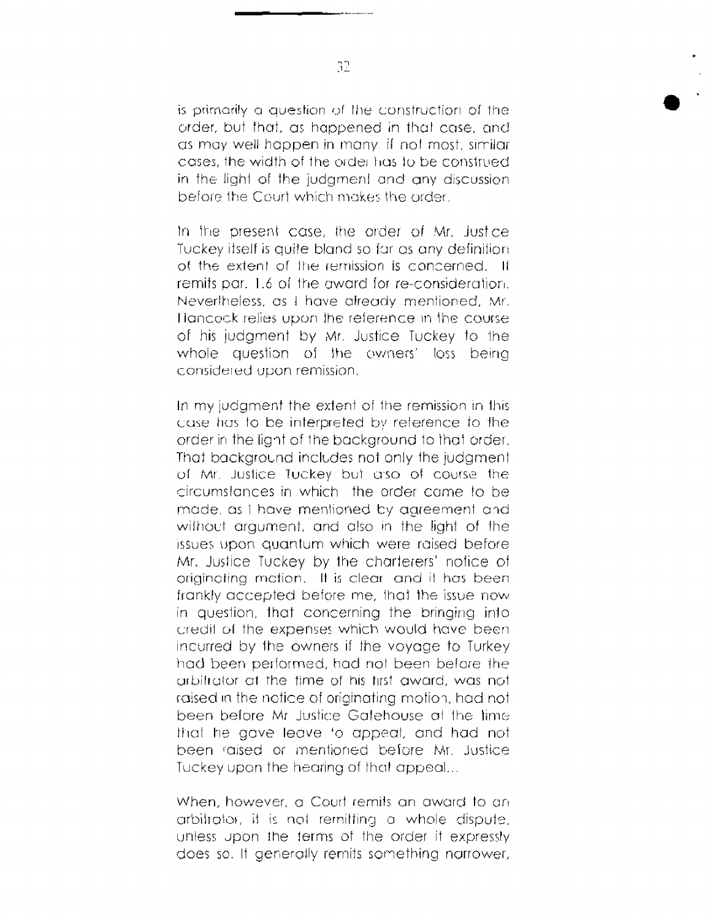is primarily a question of the construction of the order, but that, as happened in that case, and as may well happen in many, if not most, similar cases, the width of the order has to be construed in the light of the judgment and any discussion before the Court which makes the order

In the present case, the order of Mr. Justice Tuckey itself is quite bland so far as any definition of the extent of the remission is concerned. It remits par. 1.6 of the award for re-consideration. Nevertheless, as I have already mentioned, Mr. Hancock relies upon the reference in the course of his judgment by Mr. Justice Tuckey to the whole question of the owners' loss being considered upon remission.

In my judament the extent of the remission in this case has to be interpreted by reference to the order in the light of the background to that order. That background includes not only the judament of Mr. Justice Tuckey but also of course the circumstances in which the order came to be made, as I have mentioned by agreement and without argument, and also in the light of the issues upon quantum which were raised before Mr. Justice Tuckey by the charterers' notice of originating mation. It is clear and it has been frankly accepted before me, that the issue now in question, that concerning the bringing into credit of the expenses which would have been incurred by the owners if the voyage to Turkey had been performed, had not been before the arbitrator at the time of his first award, was not raised in the notice of originating motion, had not been before Mr Justice Gatebouse at the time that he gave leave to appeal, and had not been raised or mentioned before Mr. Justice Tuckey upon the hearing of that appeal...

When, however, a Court remits an award to an arbitrator. it is not remitting a whole dispute. unless upon the terms of the order if expressly does so. It generally remits something narrower,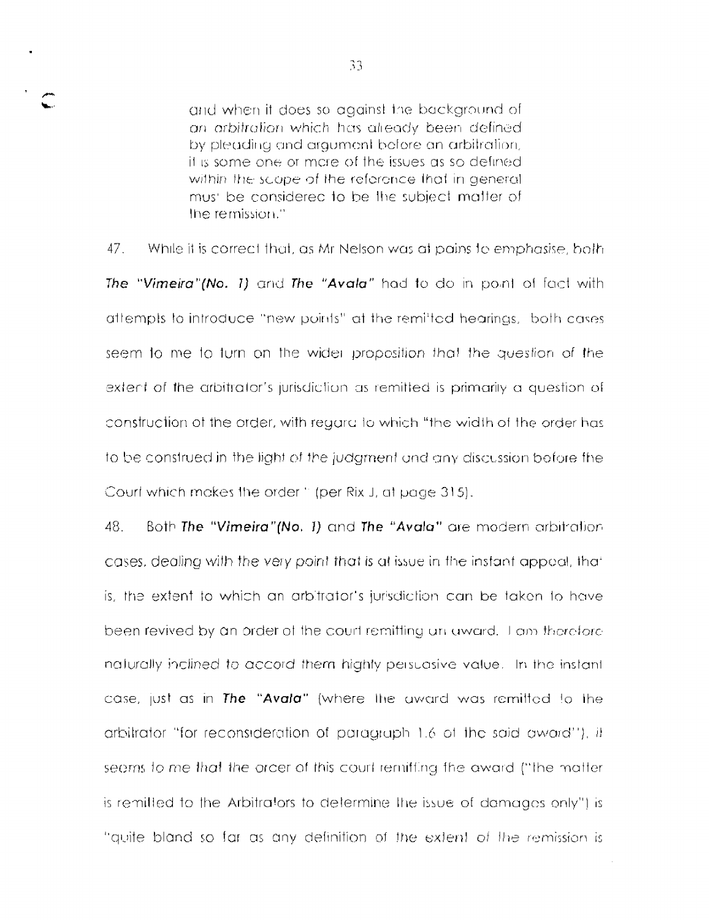and when it does so against the background of an arbitration which has already been defined by pleading and graument before an arbitration. it is some one or mare of the issues as so defined within the scope of the reference that in general mus' be considered to be the subject matter of the remission."

 $47<sub>1</sub>$ While it is correct that, as Mr Nelson was at pains to emphasise, both The "Vimeira"(No. 1) and The "Avala" had to do in point of fact with attempts to introduce "new points" at the remitted hearings, both cases seem to me to turn on the wider proposition that the question of the extent of the arbitrator's jurisdiction as remitted is primarily a question of construction of the order, with regard to which "the width of the order has to be construed in the light of the judgment and any discussion before the Court which makes the order " (per Rix J, at page 315).

48. Both The "Vimeira"(No. 1) and The "Avala" are modern arbitration cases, dealing with the very point that is at issue in the instant appeal, that is, the extent to which an arbitrator's jurisdiction can be taken to have been revived by an order of the court remitting an award. I am therefore naturally inclined to accord them highly persuasive value. In the instant case, just as in The "Avala" (where the award was remitted to the arbitrator "for reconsideration of paragraph 1.6 of the said award"), it seems to me that the order of this court remitting the award ("the matter is remitted to the Arbitrators to determine the issue of damages only") is "quite bland so far as any definition of the extent of the remission is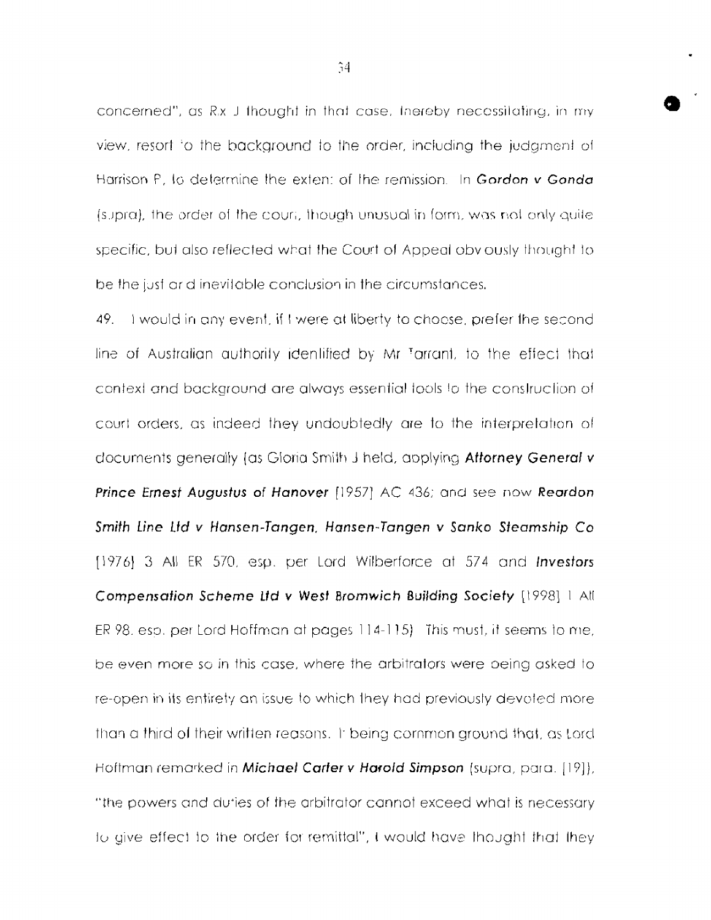concerned", as R.x J thought in that case, Inereby necessitating, in my view, resort to the background to the order, including the judgment of Harrison P, to determine the extent of the remission. In Gordon v Gonda (supra), the order of the court, though unusual in form, was not only quite specific, but also reflected what the Court of Appeal oby ously thought to be the just arid inevitable conclusion in the circumstances.

49. I would in any event, if I were at liberty to choose, prefer the second line of Australian authority identified by Mr Tarrant, to the effect that context and background are always essential tools to the construction of court orders, as indeed they undoubtedly are to the interpretation of documents generally (as Gloria Smith J held, applying Attorney General v Prince Ernest Augustus of Hanover [1957] AC 436; and see now Reardon Smith Line Ltd v Hansen-Tangen, Hansen-Tangen v Sanko Steamship Co [1976] 3 All ER 570, esp. per Lord Wilberforce at 574 and Investors Compensation Scheme Ltd v West Bromwich Building Society [1998] 1 All ER 98, esp. per Lord Hoffman at pages 114-115) This must, it seems to me, be even more so in this case, where the arbitrators were being asked to re-open in its entirety an issue to which they had previously devoted more than a third of their written reasons. It being common ground that, as Lord Hoftman remarked in Michael Carter v Harold Simpson (supra, para. [19]), "the powers and duties of the arbitrator cannot exceed what is necessary to give effect to the order for remittal", I would have thought that they

 $\hat{ }$  14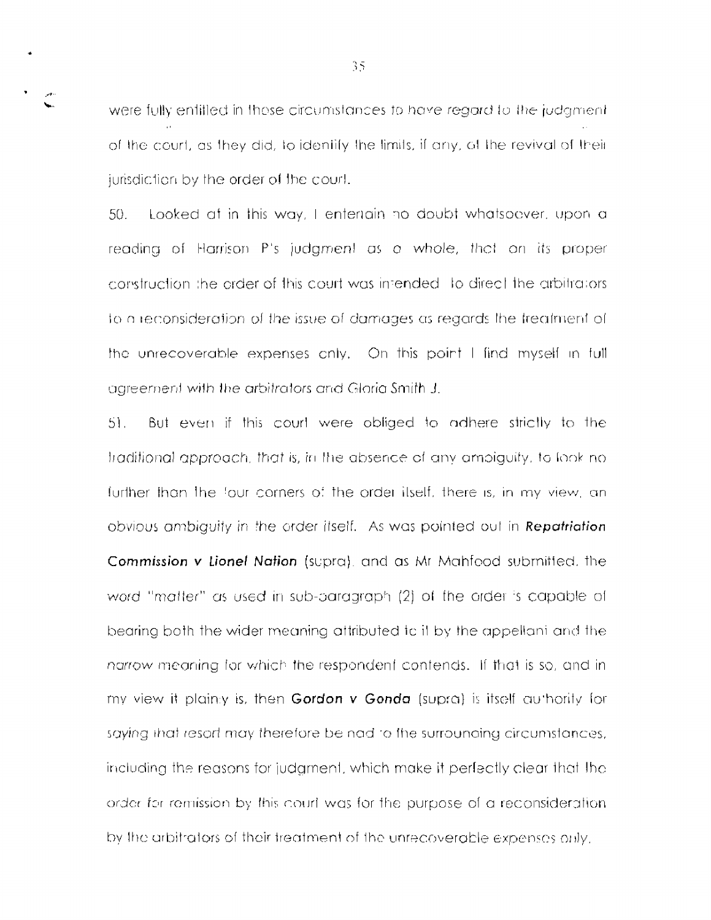were fully entitled in those circumstances to have regard to the judgment of the court, as they did, to identify the limits, if any, of the revival of their jurisdiction by the order of the court.

50. Looked at in this way, I enteriain no doubt whatsoever, upon a reading of Harrison P's judgment as a whole, that on its proper construction the order of this court was intended to direct the arbitrators to a reconsideration of the issue of damages as regards the freatment of the unrecoverable expenses only. On this point I find myself in full agreement with the arbitrators and Gloria Smith J.

 $51.$ But even if this courl were obliged to adhere strictly to the traditional approach, that is, in the absence of any ambiguity, to look no further than the four corners of the order itself, there is, in my view, an obvious ambiquity in the order itself. As was pointed out in Repatriation Commission v Lionel Nation (supra), and as Mr Mahfood submitted, the word "matter" as used in sub-paragraph (2) of the order is capable of bearing both the wider meaning attributed to it by the appellant and the narrow meaning for which the respondent contends. If that is so, and in my view it plainly is, then Gordon v Gonda (supra) is itself authority for saying that resort may therefore be nad to the surrounding circumstances, including the reasons for judgment, which make it perfectly clear that the order for remission by this court was for the purpose of a reconsideration. by the arbitrators of their treatment of the unrecoverable expenses only.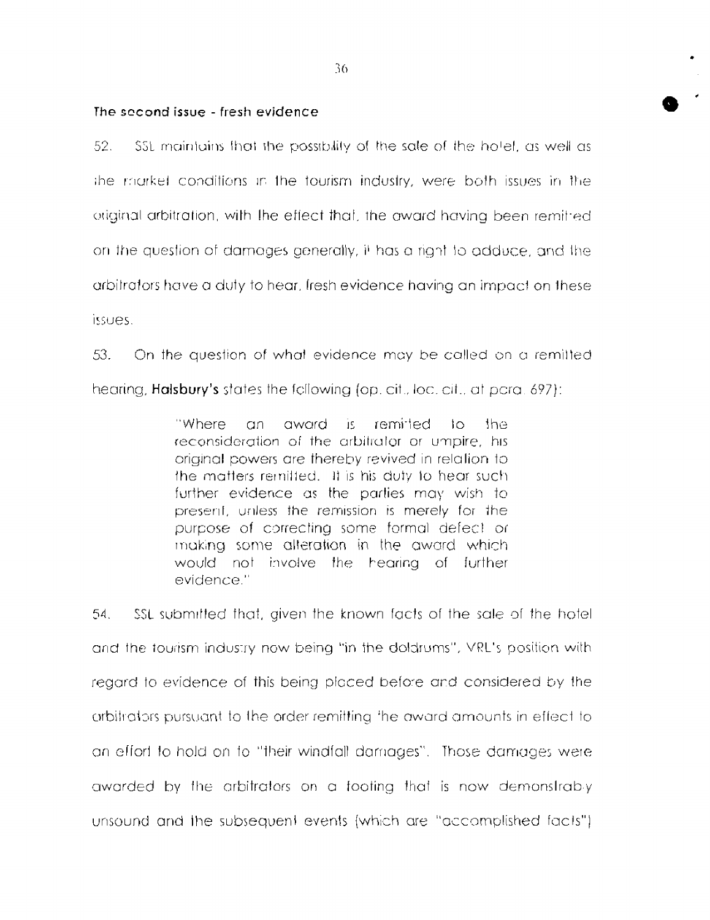#### The second issue - fresh evidence

52. \$\$L maintains that the possibility of the sale of the hotel, as well as the market conditions in the tourism industry, were both issues in the original arbitration, with the effect that, the award having been remitted. on the question of damages generally, it has a right to adduce, and the arbitrators have a duty to hear, fresh evidence having an impact on these issues.

53. On the question of what evidence may be called on a remitted hearing. **Halsbury's** states the following (op. cit., loc. cit., at para. 697):

> "Where remitted  $an$ award ήę.  $10<sub>1</sub>$ the reconsideration of the arbitrator or umpire, his priginal powers are thereby revived in relation to the matters remitted. It is his duty to hear such further evidence as the parties may wish to present, unless the remission is merely for the purpose of correcting some formal defect or making some alteration in the award which would not involve the hearing of further evidence."

54. SSL submitted that, given the known facts of the sale of the hotel and the tourism industry now being "in the doldrums". VRL's position with regard to evidence of this being placed before and considered by the arbitrators pursuant to the order remitting the award amounts in effect to an effort to hold on to "their windfall damages". Those damages were awarded by the arbitrators on a tooting that is now demonstrably unsound and the subsequent events (which are "accomplished facts").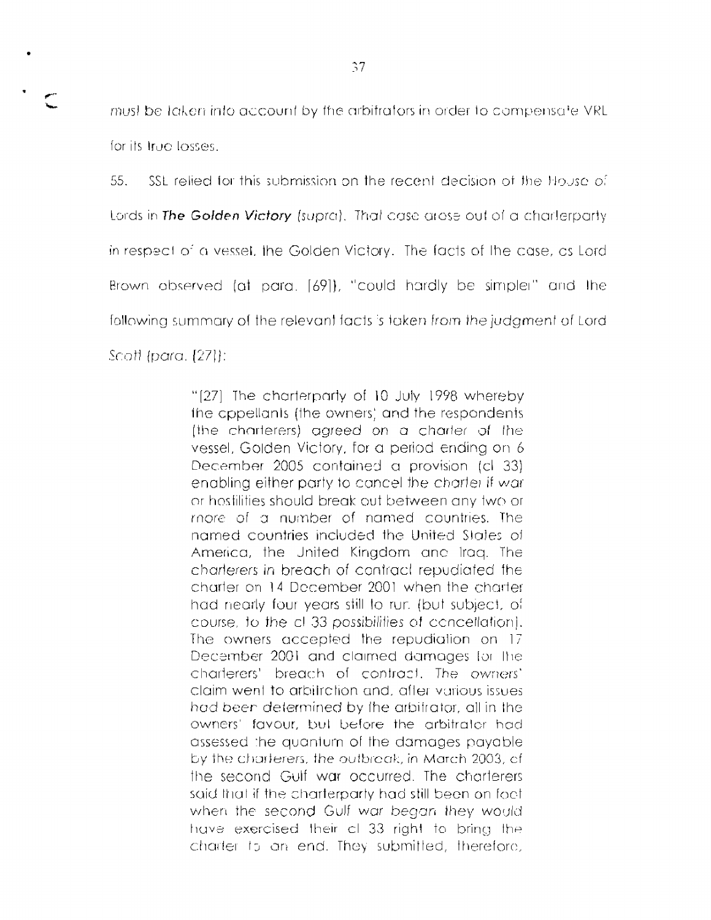must be taken into account by the arbitrators in order to compensate VRL for its true losses.

55. SSL relied for this submission on the recent decision of the House of Lords in The Golden Victory (supra). That case areas out of a charlerparty in respect of a vessel, the Golden Victory. The facts of the case, as Lord Brown observed (at para. [69]), "could hardly be simpler" and the following summary of the relevant facts is taken from the judgment of Lord Scott (para, [27]):

> "[27] The charterparty of 10 July 1998 whereby the oppellants (the owners) and the respondents (the charterers) agreed on a charter of the vessel, Golden Victory, for a period ending on 6 December 2005 contained a provision (cl 33) enabling either party to cancel the charter if war or hostilities should break out between any two or thore of a number of named countries. The named countries included the United States of America, the United Kingdom and Iraq. The charterers in breach of contract repudiated the charter on 14 December 2001 when the charter had nearly four years still to rur. (but subject, of course, to the cl 33 possibilities of concellation). The owners accepted the repudiation on 17 December 2001 and claimed damages for the charterers' breach of contract. The owners' claim went to arbitration and, after various issues had been determined by the arbitrator, all in the owners' favour, but before the arbitrator had assessed the quantum of the damages payable by the charterers, the outbreak, in March 2003, efthe second Gulf war occurred. The charterers said that if the charterparty had still been on foot. when the second Gulf war began they would have exercised their cl 33 right to bring the charter to an end. They submitted, therefore,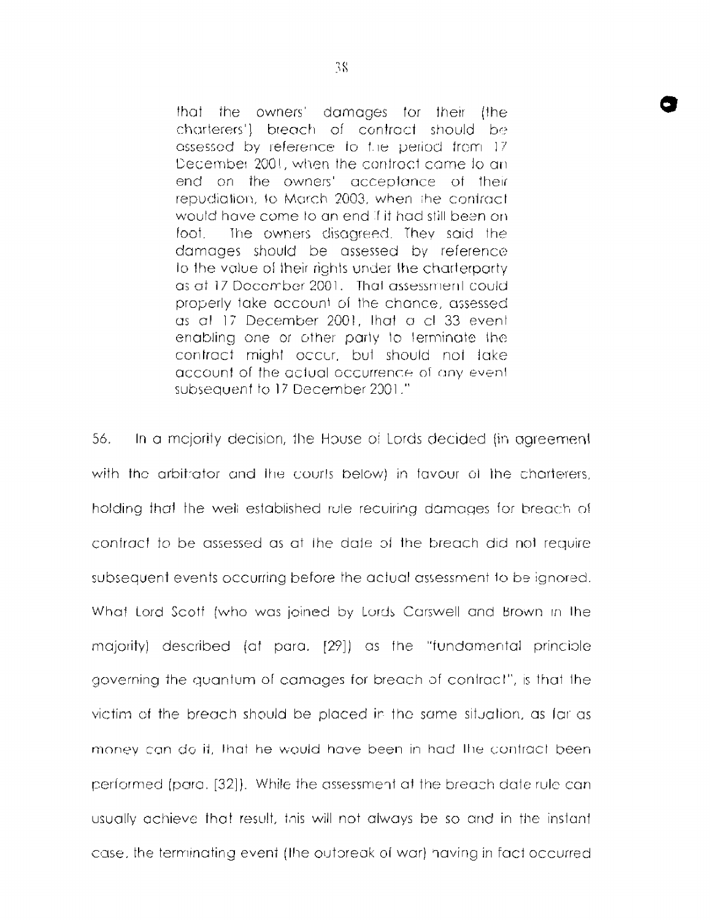that the owners' damages for their (the charterers') breach of contract should be assessed by reference to the period from 17 December 2001, when the contract came to an end on the owners' acceptance of their repudiation, to March 2003, when the contract would have come to an end if it had still been on The owners disagreed. They said the foot damages should be assessed by reference to the value of their rights under the charterparty as at 17 December 2001. That assessment could properly take account of the chance, assessed as all 17 December 2001, that a cl 33 event enabling one or other party to terminate the contract might occur, but should not take account of the actual occurrence of any event subsequent to 17 December 2001."

56. In a mejority decision, the House of Lords decided (in agreement with the arbitrator and the courts below) in favour of the charterers, holding that the well established rule reculring damages for breach of contract to be assessed as at the date of the breach did not require subsequent events occurring before the actual assessment to be ignored. What Lord Scott (who was joined by Lords Carswell and Brown in the majority) described (at para. [29]) as the "fundamental principle governing the guantum of camages for breach of contract", is that the victim of the breach should be placed in the same situation, as far as money can do it, that he would have been in had the contract been performed (para, [32]). While the assessment at the breach date rule can usually achieve that result, this will not always be so and in the instant case, the terminating event (the outpreak of war) having in fact occurred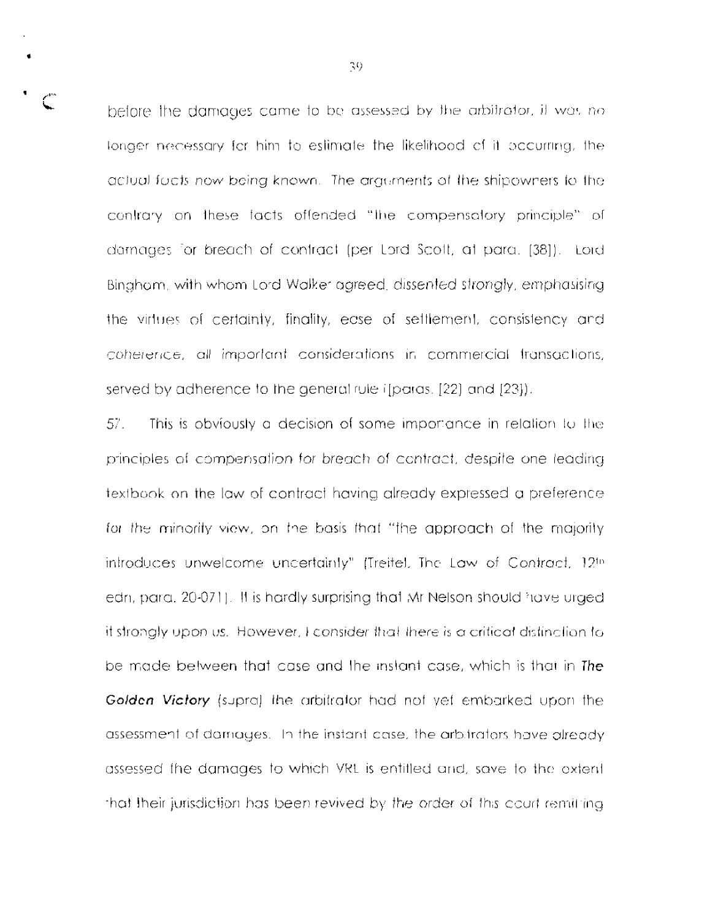before the damages came to be assessed by the arbitrator, it was no tonger necessary for him to estimate the likelihood of it occurring, the actual facts now being known. The arguments of the shipowners to the contrary on these facts offended "the compensatory principle" of damages for breach of contract (per Lord Scott, at para. [38]). Lord Bingham, with whom Lord Walker agreed, dissented strongly, emphasising the virtues of certainty, finality, ease of settlement, consistency and coherence, all important considerations in commercial transactions, served by adherence to the general rule if paras. [22] and [23]).

57. This is obviously a decision of some importance in relation to the principles of compensation for breach of contract, despite one leading textbook on the law of contract having already expressed a preference for the minority view, on the basis that "the approach of the majority introduces unwelcome uncertainly" (Treitel, The Law of Contract, 12th edn, para. 20-071). It is hardly surprising that Mr Nelson should have urged it strongly upon us. However, I consider that there is a critical distinction to be made between that case and the instant case, which is that in The Golden Victory (supra) the arbitrator had not yet embarked upon the assessment of damages. In the instant case, the arbitrators have already assessed the damages to which VRL is entitled and, save to the extent that their jurisdiction has been revived by the order of this court remitting.

39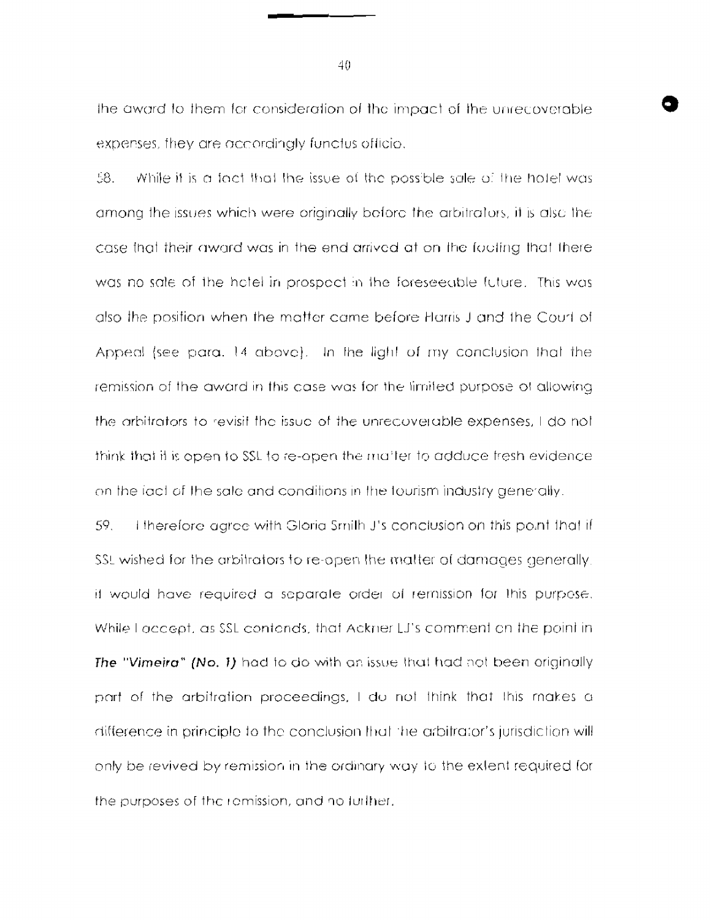the award to them for consideration of the impact of the unrecoverable expenses, they are accordingly functus officio.

58. While it is a fact that the issue of the possible sale of the hotel was among the issues which were originally before the arbitrators, it is also the case that their award was in the end arrived at on the footing that there was no sale of the hotel in prospect in the foreseeable future. This was also the position when the matter came before Harris J and the Court of Appeal (see para. 14 above). In the light of my conclusion that the remission of the award in this case was for the limited purpose of allowing the arbitrators to revisit the issue of the unrecoverable expenses, I do not think that it is open to SSL to re-open the maiter to adduce fresh evidence. on the fact of the sale and conditions in the tourism industry generally.

59. I therefore agree with Gloria Smith J's conclusion on this point that if SSL wished for the arbitrators to re-open the matter of damages generally. it would have required a separate order of remission for this purpose. While I accept, as SSL contands, that Ackner LJ's comment on the point in **The "Vimeira" (No. 1)** had to do with an issue that had not been originally part of the arbitration proceedings, I do not think that this makes a difference in principle to the conclusion that the arbitrator's jurisdiction will only be revived by remission in the ordinary way to the extent required for the purposes of the romission, and no further.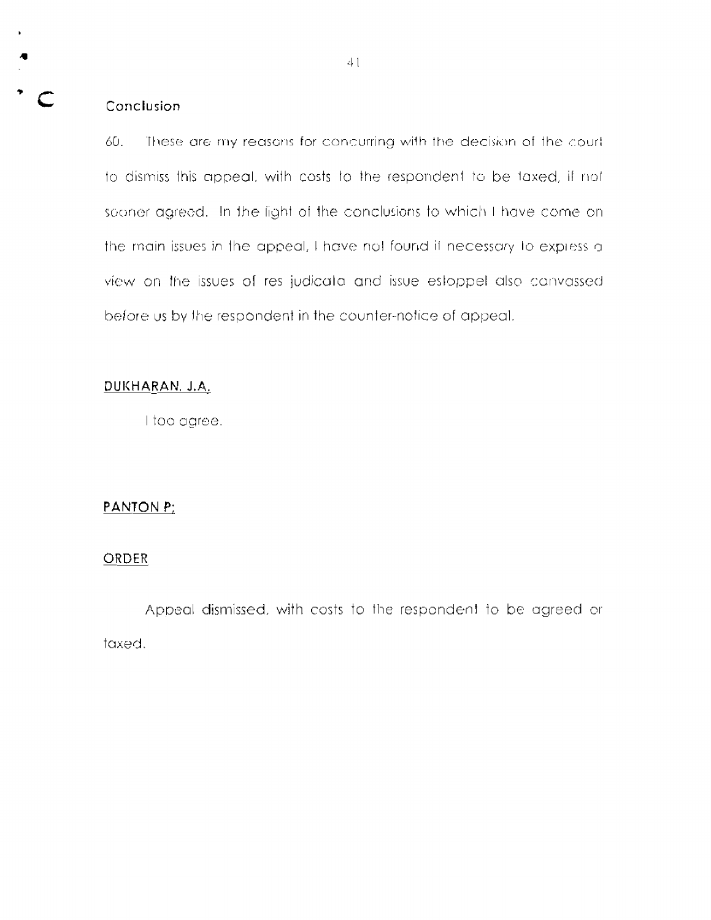## Conclusion

60. These are my reasons for concurring with the decision of the courtto dismiss this appeal, with costs to the respondent to be taxed, if not sconer agreed. In the light of the conclusions to which I have come on the main issues in the appeal, I have not found it necessary to express a view on the issues of res judicata and issue estoppet also canvassed before us by the respondent in the counter-notice of appeal.

## DUKHARAN, J.A.

I too agree.

## $PANION P<sub>L</sub>$

#### ORDER

Appeal dismissed, with costs to the respondent to be agreed or taxed.